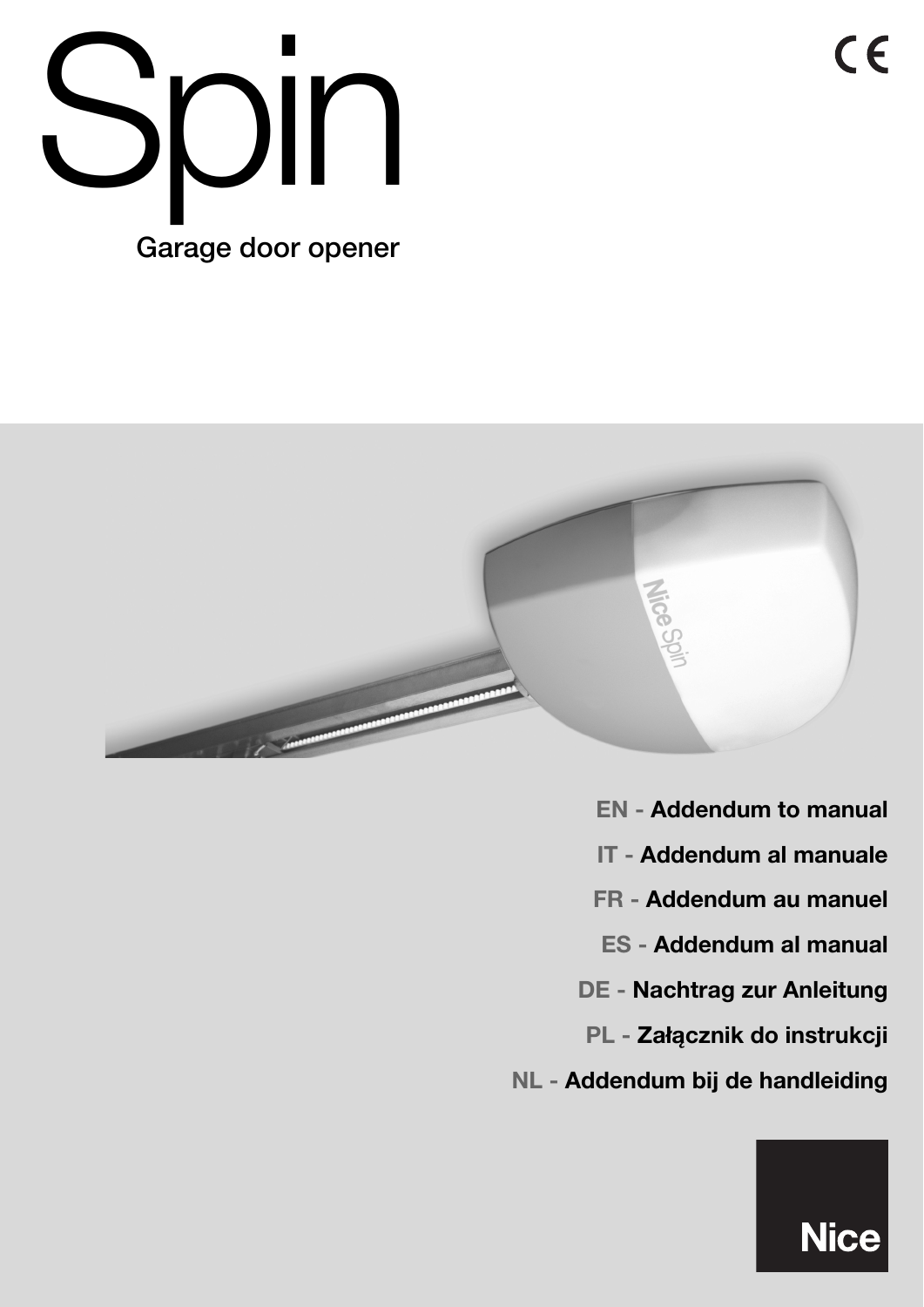



**EN - Addendum to manual IT - Addendum al manuale FR - Addendum au manuel ES - Addendum al manual DE - Nachtrag zur Anleitung PL - Załącznik do instrukcji NL - Addendum bij de handleiding**

**Nice** 

 $C \in$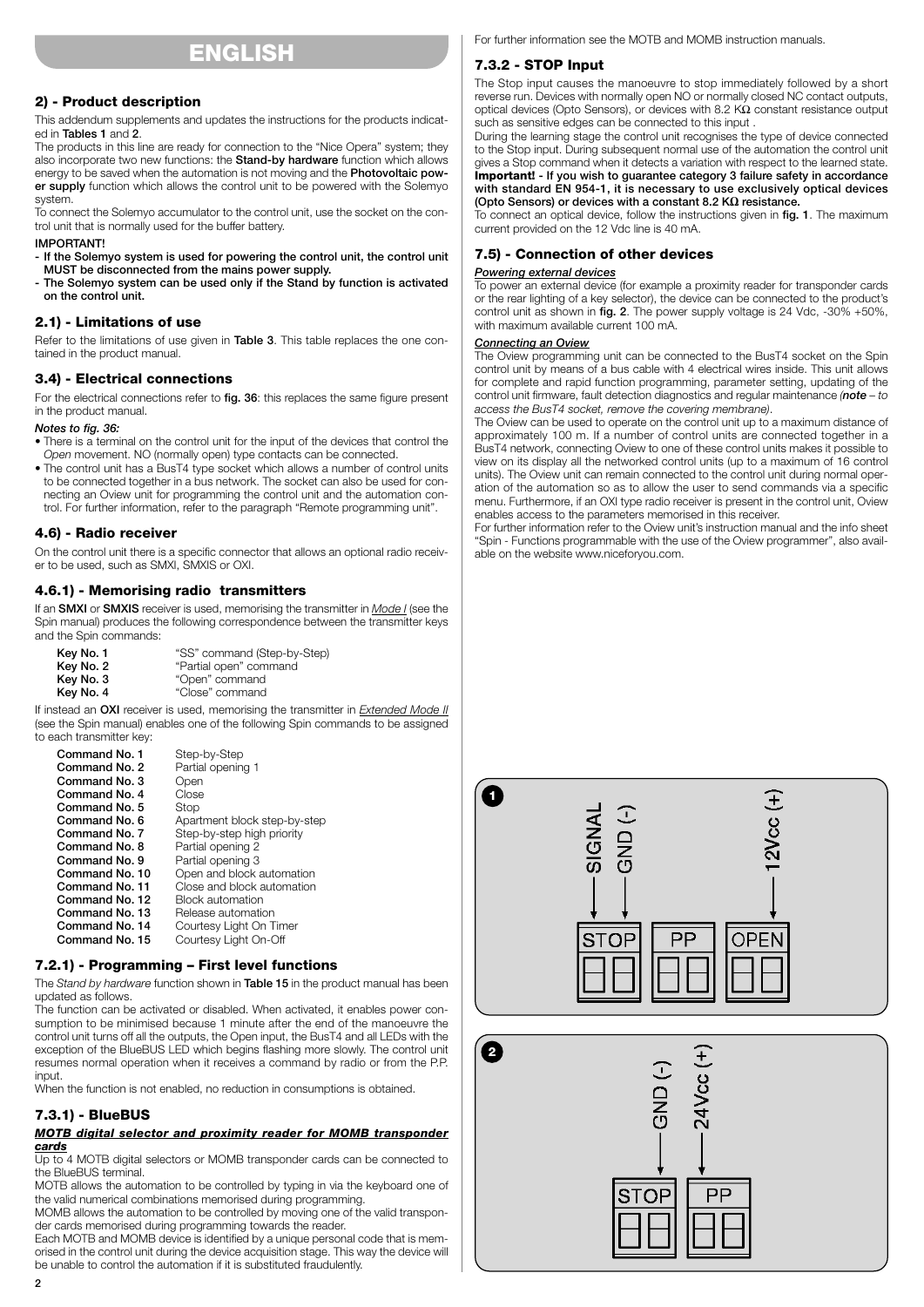## **ENGLISH**

### **2) - Product description**

This addendum supplements and updates the instructions for the products indicated in **Tables 1** and **2**.

The products in this line are ready for connection to the "Nice Opera" system; they also incorporate two new functions: the **Stand-by hardware** function which allows energy to be saved when the automation is not moving and the **Photovoltaic power supply** function which allows the control unit to be powered with the Solemyo system.

To connect the Solemyo accumulator to the control unit, use the socket on the control unit that is normally used for the buffer battery.

#### **IMPORTANT!**

**- If the Solemyo system is used for powering the control unit, the control unit MUST be disconnected from the mains power supply.**

**- The Solemyo system can be used only if the Stand by function is activated on the control unit.**

#### **2.1) - Limitations of use**

Refer to the limitations of use given in **Table 3**. This table replaces the one contained in the product manual.

### **3.4) - Electrical connections**

For the electrical connections refer to **fig. 36**: this replaces the same figure present in the product manual.

#### *Notes to fig. 36:*

- There is a terminal on the control unit for the input of the devices that control the *Open* movement. NO (normally open) type contacts can be connected.
- The control unit has a BusT4 type socket which allows a number of control units to be connected together in a bus network. The socket can also be used for connecting an Oview unit for programming the control unit and the automation control. For further information, refer to the paragraph "Remote programming unit".

#### **4.6) - Radio receiver**

On the control unit there is a specific connector that allows an optional radio receiver to be used, such as SMXI, SMXIS or OXI.

### **4.6.1) - Memorising radio transmitters**

If an **SMXI** or **SMXIS** receiver is used, memorising the transmitter in *Mode I* (see the Spin manual) produces the following correspondence between the transmitter keys and the Spin commands:

| Key No. 1 | "SS" command (Step-by-Step) |
|-----------|-----------------------------|
| Key No. 2 | "Partial open" command      |
| Key No. 3 | "Open" command              |
| Key No. 4 | "Close" command             |

If instead an **OXI** receiver is used, memorising the transmitter in *Extended Mode II* (see the Spin manual) enables one of the following Spin commands to be assigned to each transmitter key:

| Command No. 1  | Step-by-Step                 |
|----------------|------------------------------|
| Command No. 2  | Partial opening 1            |
| Command No. 3  | Open                         |
| Command No. 4  | Close                        |
| Command No. 5  | Stop                         |
| Command No. 6  | Apartment block step-by-step |
| Command No. 7  | Step-by-step high priority   |
| Command No. 8  | Partial opening 2            |
| Command No. 9  | Partial opening 3            |
| Command No. 10 | Open and block automation    |
| Command No. 11 | Close and block automation   |
| Command No. 12 | <b>Block automation</b>      |
| Command No. 13 | Release automation           |
| Command No. 14 | Courtesy Light On Timer      |
| Command No. 15 | Courtesy Light On-Off        |

#### **7.2.1) - Programming – First level functions**

The *Stand by hardware* function shown in **Table 15** in the product manual has been updated as follows.

The function can be activated or disabled. When activated, it enables power consumption to be minimised because 1 minute after the end of the manoeuvre the control unit turns off all the outputs, the Open input, the BusT4 and all LEDs with the exception of the BlueBUS LED which begins flashing more slowly. The control unit resumes normal operation when it receives a command by radio or from the P.P. input.

When the function is not enabled, no reduction in consumptions is obtained.

### **7.3.1) - BlueBUS**

#### *MOTB digital selector and proximity reader for MOMB transponder cards*

Up to 4 MOTB digital selectors or MOMB transponder cards can be connected to the BlueBUS terminal.

MOTB allows the automation to be controlled by typing in via the keyboard one of the valid numerical combinations memorised during programming.

MOMB allows the automation to be controlled by moving one of the valid transponder cards memorised during programming towards the reader.

Each MOTB and MOMB device is identified by a unique personal code that is memorised in the control unit during the device acquisition stage. This way the device will be unable to control the automation if it is substituted fraudulently.

For further information see the MOTB and MOMB instruction manuals.

## **7.3.2 - STOP Input**

The Stop input causes the manoeuvre to stop immediately followed by a short reverse run. Devices with normally open NO or normally closed NC contact outputs, optical devices (Opto Sensors), or devices with 8.2 KΩ constant resistance output such as sensitive edges can be connected to this input .

During the learning stage the control unit recognises the type of device connected to the Stop input. During subsequent normal use of the automation the control unit gives a Stop command when it detects a variation with respect to the learned state. **Important! - If you wish to guarantee category 3 failure safety in accordance with standard EN 954-1, it is necessary to use exclusively optical devices (Opto Sensors) or devices with a constant 8.2 KΩ resistance.**

To connect an optical device, follow the instructions given in **fig. 1**. The maximum current provided on the 12 Vdc line is 40 mA.

#### **7.5) - Connection of other devices**

#### *Powering external devices*

To power an external device (for example a proximity reader for transponder cards or the rear lighting of a key selector), the device can be connected to the product's control unit as shown in **fig. 2**. The power supply voltage is 24 Vdc, -30% +50%, with maximum available current 100 mA.

#### *Connecting an Oview*

The Oview programming unit can be connected to the BusT4 socket on the Spin control unit by means of a bus cable with 4 electrical wires inside. This unit allows for complete and rapid function programming, parameter setting, updating of the control unit firmware, fault detection diagnostics and regular maintenance *(note – to access the BusT4 socket, remove the covering membrane)*.

The Oview can be used to operate on the control unit up to a maximum distance of approximately 100 m. If a number of control units are connected together in a BusT4 network, connecting Oview to one of these control units makes it possible to view on its display all the networked control units (up to a maximum of 16 control units). The Oview unit can remain connected to the control unit during normal operation of the automation so as to allow the user to send commands via a specific menu. Furthermore, if an OXI type radio receiver is present in the control unit, Oview enables access to the parameters memorised in this receiver.

For further information refer to the Oview unit's instruction manual and the info sheet "Spin - Functions programmable with the use of the Oview programmer", also available on the website www.niceforyou.com.

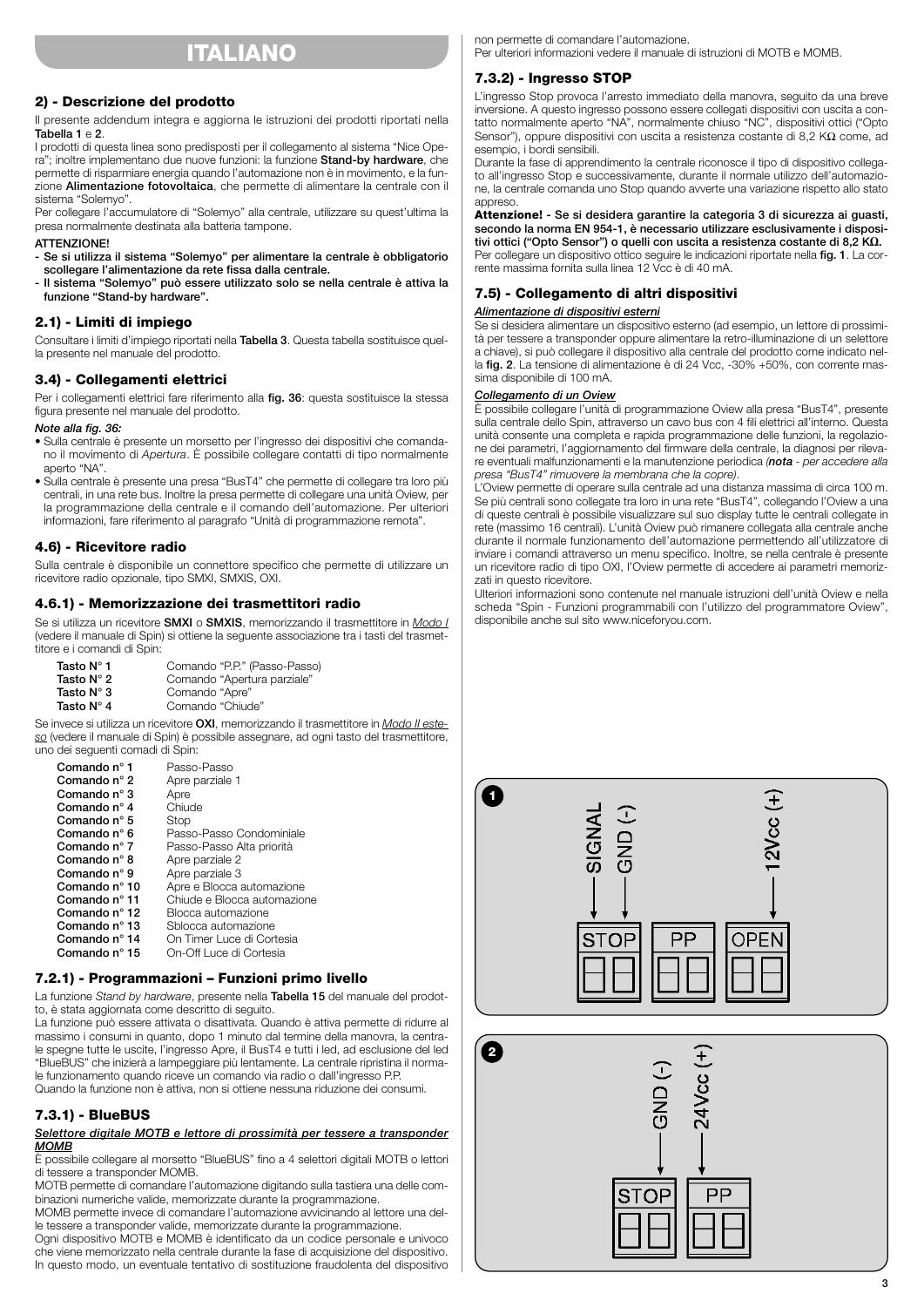## **ITALIANO**

## **2) - Descrizione del prodotto**

Il presente addendum integra e aggiorna le istruzioni dei prodotti riportati nella **Tabella 1** e **2**.

I prodotti di questa linea sono predisposti per il collegamento al sistema "Nice Opera"; inoltre implementano due nuove funzioni: la funzione **Stand-by hardware**, che permette di risparmiare energia quando l'automazione non è in movimento, e la funzione **Alimentazione fotovoltaica**, che permette di alimentare la centrale con il sistema "Solemyo".

Per collegare l'accumulatore di "Solemyo" alla centrale, utilizzare su quest'ultima la presa normalmente destinata alla batteria tampone.

#### **ATTENZIONE!**

**- Se si utilizza il sistema "Solemyo" per alimentare la centrale è obbligatorio scollegare l'alimentazione da rete fissa dalla centrale.**

**- Il sistema "Solemyo" può essere utilizzato solo se nella centrale è attiva la funzione "Stand-by hardware".**

#### **2.1) - Limiti di impiego**

Consultare i limiti d'impiego riportati nella **Tabella 3**. Questa tabella sostituisce quella presente nel manuale del prodotto.

### **3.4) - Collegamenti elettrici**

Per i collegamenti elettrici fare riferimento alla **fig. 36**: questa sostituisce la stessa figura presente nel manuale del prodotto.

#### *Note alla fig. 36:*

- Sulla centrale è presente un morsetto per l'ingresso dei dispositivi che comandano il movimento di *Apertura*. È possibile collegare contatti di tipo normalmente aperto "NA".
- Sulla centrale è presente una presa "BusT4" che permette di collegare tra loro più centrali, in una rete bus. Inoltre la presa permette di collegare una unità Oview, per la programmazione della centrale e il comando dell'automazione. Per ulteriori informazioni, fare riferimento al paragrafo "Unità di programmazione remota".

#### **4.6) - Ricevitore radio**

Sulla centrale è disponibile un connettore specifico che permette di utilizzare un ricevitore radio opzionale, tipo SMXI, SMXIS, OXI.

### **4.6.1) - Memorizzazione dei trasmettitori radio**

Se si utilizza un ricevitore **SMXI** o **SMXIS**, memorizzando il trasmettitore in *Modo I* (vedere il manuale di Spin) si ottiene la seguente associazione tra i tasti del trasmettitore e i comandi di Spin:

| Tasto $N^{\circ}$ 1 | Comando "P.P." (Passo-Passo) |
|---------------------|------------------------------|
| Tasto $N^{\circ}$ 2 | Comando "Apertura parziale"  |
| Tasto $N^{\circ}$ 3 | Comando "Apre"               |
| Tasto $N^{\circ}$ 4 | Comando "Chiude"             |

Se invece si utilizza un ricevitore **OXI**, memorizzando il trasmettitore in *Modo II esteso* (vedere il manuale di Spin) è possibile assegnare, ad ogni tasto del trasmettitore, uno dei seguenti comadi di Spin:

| Comando nº 1           | Passo-Passo                 |
|------------------------|-----------------------------|
| Comando n $\degree$ 2  | Apre parziale 1             |
| Comando n $\degree$ 3  | Apre                        |
| Comando n $\degree$ 4  | Chiude                      |
| Comando n $\degree$ 5  | Stop                        |
| Comando n° 6           | Passo-Passo Condominiale    |
| Comando n $\degree$ 7  | Passo-Passo Alta priorità   |
| Comando n° 8           | Apre parziale 2             |
| Comando n° 9           | Apre parziale 3             |
| Comando nº 10          | Apre e Blocca automazione   |
| Comando nº 11          | Chiude e Blocca automazione |
| Comando n $\degree$ 12 | Blocca automazione          |
| Comando nº 13          | Sblocca automazione         |
| Comando nº 14          | On Timer Luce di Cortesia   |
| Comando nº 15          | On-Off Luce di Cortesia     |

#### **7.2.1) - Programmazioni – Funzioni primo livello**

La funzione *Stand by hardware*, presente nella **Tabella 15** del manuale del prodotto, è stata aggiornata come descritto di seguito.

La funzione può essere attivata o disattivata. Quando è attiva permette di ridurre al massimo i consumi in quanto, dopo 1 minuto dal termine della manovra, la centrale spegne tutte le uscite, l'ingresso Apre, il BusT4 e tutti i led, ad esclusione del led "BlueBUS" che inizierà a lampeggiare più lentamente. La centrale ripristina il normale funzionamento quando riceve un comando via radio o dall'ingresso P.P. Quando la funzione non è attiva, non si ottiene nessuna riduzione dei consumi.

## **7.3.1) - BlueBUS**

*Selettore digitale MOTB e lettore di prossimità per tessere a transponder MOMB*

È possibile collegare al morsetto "BlueBUS" fino a 4 selettori digitali MOTB o lettori di tessere a transponder MOMB.

MOTB permette di comandare l'automazione digitando sulla tastiera una delle combinazioni numeriche valide, memorizzate durante la programmazione.

MOMB permette invece di comandare l'automazione avvicinando al lettore una delle tessere a transponder valide, memorizzate durante la programmazione.

Ogni dispositivo MOTB e MOMB è identificato da un codice personale e univoco che viene memorizzato nella centrale durante la fase di acquisizione del dispositivo. In questo modo, un eventuale tentativo di sostituzione fraudolenta del dispositivo non permette di comandare l'automazione. Per ulteriori informazioni vedere il manuale di istruzioni di MOTB e MOMB.

## **7.3.2) - Ingresso STOP**

L'ingresso Stop provoca l'arresto immediato della manovra, seguito da una breve inversione. A questo ingresso possono essere collegati dispositivi con uscita a contatto normalmente aperto "NA", normalmente chiuso "NC", dispositivi ottici ("Opto Sensor"), oppure dispositivi con uscita a resistenza costante di 8,2 KΩ come, ad esempio, i bordi sensibili.

Durante la fase di apprendimento la centrale riconosce il tipo di dispositivo collegato all'ingresso Stop e successivamente, durante il normale utilizzo dell'automazione, la centrale comanda uno Stop quando avverte una variazione rispetto allo stato appreso.

**Attenzione! - Se si desidera garantire la categoria 3 di sicurezza ai guasti, secondo la norma EN 954-1, è necessario utilizzare esclusivamente i dispositivi ottici ("Opto Sensor") o quelli con uscita a resistenza costante di 8,2 KΩ.** Per collegare un dispositivo ottico seguire le indicazioni riportate nella **fig. 1**. La corrente massima fornita sulla linea 12 Vcc è di 40 mA.

## **7.5) - Collegamento di altri dispositivi**

#### *Alimentazione di dispositivi esterni*

Se si desidera alimentare un dispositivo esterno (ad esempio, un lettore di prossimità per tessere a transponder oppure alimentare la retro-illuminazione di un selettore a chiave), si può collegare il dispositivo alla centrale del prodotto come indicato nella **fig. 2**. La tensione di alimentazione è di 24 Vcc, -30% +50%, con corrente massima disponibile di 100 mA.

#### *Collegamento di un Oview*

È possibile collegare l'unità di programmazione Oview alla presa "BusT4", presente sulla centrale dello Spin, attraverso un cavo bus con 4 fili elettrici all'interno. Questa unità consente una completa e rapida programmazione delle funzioni, la regolazione dei parametri, l'aggiornamento del firmware della centrale, la diagnosi per rilevare eventuali malfunzionamenti e la manutenzione periodica *(nota - per accedere alla presa "BusT4" rimuovere la membrana che la copre)*.

L'Oview permette di operare sulla centrale ad una distanza massima di circa 100 m. Se più centrali sono collegate tra loro in una rete "BusT4", collegando l'Oview a una di queste centrali è possibile visualizzare sul suo display tutte le centrali collegate in rete (massimo 16 centrali). L'unità Oview può rimanere collegata alla centrale anche durante il normale funzionamento dell'automazione permettendo all'utilizzatore di inviare i comandi attraverso un menu specifico. Inoltre, se nella centrale è presente un ricevitore radio di tipo OXI, l'Oview permette di accedere ai parametri memorizzati in questo ricevitore.

Ulteriori informazioni sono contenute nel manuale istruzioni dell'unità Oview e nella scheda "Spin - Funzioni programmabili con l'utilizzo del programmatore Oview", disponibile anche sul sito www.niceforyou.com.

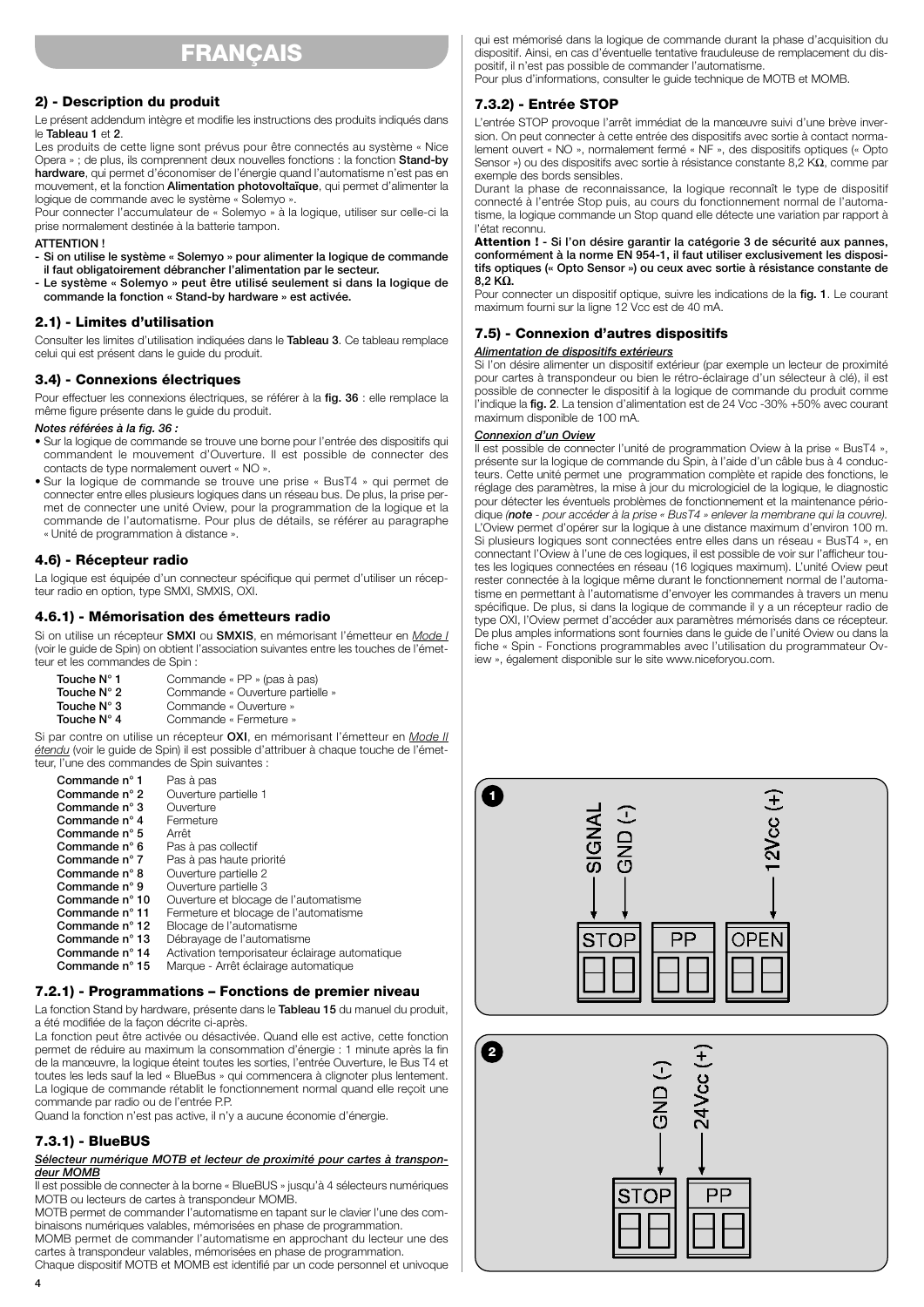## **FRANÇAIS**

## **2) - Description du produit**

Le présent addendum intègre et modifie les instructions des produits indiqués dans le **Tableau 1** et **2**.

Les produits de cette ligne sont prévus pour être connectés au système « Nice Opera » ; de plus, ils comprennent deux nouvelles fonctions : la fonction **Stand-by hardware**, qui permet d'économiser de l'énergie quand l'automatisme n'est pas en mouvement, et la fonction **Alimentation photovoltaïque**, qui permet d'alimenter la logique de commande avec le système « Solemyo ».

Pour connecter l'accumulateur de « Solemyo » à la logique, utiliser sur celle-ci la prise normalement destinée à la batterie tampon.

#### **ATTENTION !**

**- Si on utilise le système « Solemyo » pour alimenter la logique de commande il faut obligatoirement débrancher l'alimentation par le secteur.**

**- Le système « Solemyo » peut être utilisé seulement si dans la logique de commande la fonction « Stand-by hardware » est activée.**

#### **2.1) - Limites d'utilisation**

Consulter les limites d'utilisation indiquées dans le **Tableau 3**. Ce tableau remplace celui qui est présent dans le guide du produit.

## **3.4) - Connexions électriques**

Pour effectuer les connexions électriques, se référer à la **fig. 36** : elle remplace la même figure présente dans le guide du produit.

#### *Notes référées à la fig. 36 :*

- Sur la logique de commande se trouve une borne pour l'entrée des dispositifs qui commandent le mouvement d'Ouverture. Il est possible de connecter des contacts de type normalement ouvert « NO ».
- Sur la logique de commande se trouve une prise « BusT4 » qui permet de connecter entre elles plusieurs logiques dans un réseau bus. De plus, la prise permet de connecter une unité Oview, pour la programmation de la logique et la commande de l'automatisme. Pour plus de détails, se référer au paragraphe « Unité de programmation à distance ».

## **4.6) - Récepteur radio**

La logique est équipée d'un connecteur spécifique qui permet d'utiliser un récepteur radio en option, type SMXI, SMXIS, OXI.

## **4.6.1) - Mémorisation des émetteurs radio**

Si on utilise un récepteur **SMXI** ou **SMXIS**, en mémorisant l'émetteur en *Mode I* (voir le guide de Spin) on obtient l'association suivantes entre les touches de l'émetteur et les commandes de Spin :

| Touche N° 1          | Commande « PP » (pas à pas)      |
|----------------------|----------------------------------|
| Touche $N^{\circ}$ 2 | Commande « Ouverture partielle » |
| Touche $N^{\circ}$ 3 | Commande « Ouverture »           |
| Touche $N^{\circ}$ 4 | Commande « Fermeture »           |

Si par contre on utilise un récepteur **OXI**, en mémorisant l'émetteur en *Mode II étendu* (voir le guide de Spin) il est possible d'attribuer à chaque touche de l'émetteur, l'une des commandes de Spin suivantes :

| Commande n° 1           | Pas à pas                                      |
|-------------------------|------------------------------------------------|
| Commande $n^{\circ}$ 2  | Ouverture partielle 1                          |
| Commande $n^{\circ}$ 3  | Ouverture                                      |
| Commande $n^{\circ}$ 4  | Fermeture                                      |
| Commande $n^{\circ}$ 5  | Arrêt                                          |
| Commande $n^{\circ}$ 6  | Pas à pas collectif                            |
| Commande $n^{\circ}$ 7  | Pas à pas haute priorité                       |
| Commande $n^{\circ}$ 8  | Ouverture partielle 2                          |
| Commande n° 9           | Ouverture partielle 3                          |
| Commande $n^{\circ}$ 10 | Ouverture et blocage de l'automatisme          |
| Commande $n^{\circ}$ 11 | Fermeture et blocage de l'automatisme          |
| Commande $n^{\circ}$ 12 | Blocage de l'automatisme                       |
| Commande $n^{\circ}$ 13 | Débrayage de l'automatisme                     |
| Commande $n^{\circ}$ 14 | Activation temporisateur éclairage automatique |
| Commande $n^{\circ}$ 15 | Marque - Arrêt éclairage automatique           |

## **7.2.1) - Programmations – Fonctions de premier niveau**

La fonction Stand by hardware, présente dans le **Tableau 15** du manuel du produit, a été modifiée de la façon décrite ci-après.

La fonction peut être activée ou désactivée. Quand elle est active, cette fonction permet de réduire au maximum la consommation d'énergie : 1 minute après la fin de la manœuvre, la logique éteint toutes les sorties, l'entrée Ouverture, le Bus T4 et toutes les leds sauf la led « BlueBus » qui commencera à clignoter plus lentement. La logique de commande rétablit le fonctionnement normal quand elle reçoit une commande par radio ou de l'entrée P.P.

Quand la fonction n'est pas active, il n'y a aucune économie d'énergie.

## **7.3.1) - BlueBUS**

#### *Sélecteur numérique MOTB et lecteur de proximité pour cartes à transpondeur MOMB*

Il est possible de connecter à la borne « BlueBUS » jusqu'à 4 sélecteurs numériques MOTB ou lecteurs de cartes à transpondeur MOMB.

MOTB permet de commander l'automatisme en tapant sur le clavier l'une des combinaisons numériques valables, mémorisées en phase de programmation.

MOMB permet de commander l'automatisme en approchant du lecteur une des cartes à transpondeur valables, mémorisées en phase de programmation.

Chaque dispositif MOTB et MOMB est identifié par un code personnel et univoque

qui est mémorisé dans la logique de commande durant la phase d'acquisition du dispositif. Ainsi, en cas d'éventuelle tentative frauduleuse de remplacement du dispositif, il n'est pas possible de commander l'automatisme. Pour plus d'informations, consulter le guide technique de MOTB et MOMB.

#### **7.3.2) - Entrée STOP**

L'entrée STOP provoque l'arrêt immédiat de la manœuvre suivi d'une brève inversion. On peut connecter à cette entrée des dispositifs avec sortie à contact normalement ouvert « NO », normalement fermé « NF », des dispositifs optiques (« Opto Sensor ») ou des dispositifs avec sortie à résistance constante 8,2 KΩ, comme par exemple des bords sensibles.

Durant la phase de reconnaissance, la logique reconnaît le type de dispositif connecté à l'entrée Stop puis, au cours du fonctionnement normal de l'automatisme, la logique commande un Stop quand elle détecte une variation par rapport à l'état reconnu.

**Attention ! - Si l'on désire garantir la catégorie 3 de sécurité aux pannes, conformément à la norme EN 954-1, il faut utiliser exclusivement les dispositifs optiques (« Opto Sensor ») ou ceux avec sortie à résistance constante de 8,2 KΩ.**

Pour connecter un dispositif optique, suivre les indications de la **fig. 1**. Le courant maximum fourni sur la ligne 12 Vcc est de 40 mA.

#### **7.5) - Connexion d'autres dispositifs**

#### *Alimentation de dispositifs extérieurs*

Si l'on désire alimenter un dispositif extérieur (par exemple un lecteur de proximité pour cartes à transpondeur ou bien le rétro-éclairage d'un sélecteur à clé), il est possible de connecter le dispositif à la logique de commande du produit comme l'indique la **fig. 2**. La tension d'alimentation est de 24 Vcc -30% +50% avec courant maximum disponible de 100 mA.

#### *Connexion d'un Oview*

Il est possible de connecter l'unité de programmation Oview à la prise « BusT4 », présente sur la logique de commande du Spin, à l'aide d'un câble bus à 4 conducteurs. Cette unité permet une programmation complète et rapide des fonctions, le réglage des paramètres, la mise à jour du micrologiciel de la logique, le diagnostic pour détecter les éventuels problèmes de fonctionnement et la maintenance périodique *(note - pour accéder à la prise « BusT4 » enlever la membrane qui la couvre).* L'Oview permet d'opérer sur la logique à une distance maximum d'environ 100 m. Si plusieurs logiques sont connectées entre elles dans un réseau « BusT4 », en connectant l'Oview à l'une de ces logiques, il est possible de voir sur l'afficheur toutes les logiques connectées en réseau (16 logiques maximum). L'unité Oview peut rester connectée à la logique même durant le fonctionnement normal de l'automatisme en permettant à l'automatisme d'envoyer les commandes à travers un menu spécifique. De plus, si dans la logique de commande il y a un récepteur radio de type OXI, l'Oview permet d'accéder aux paramètres mémorisés dans ce récepteur. De plus amples informations sont fournies dans le guide de l'unité Oview ou dans la fiche « Spin - Fonctions programmables avec l'utilisation du programmateur Oview », également disponible sur le site www.niceforyou.com.

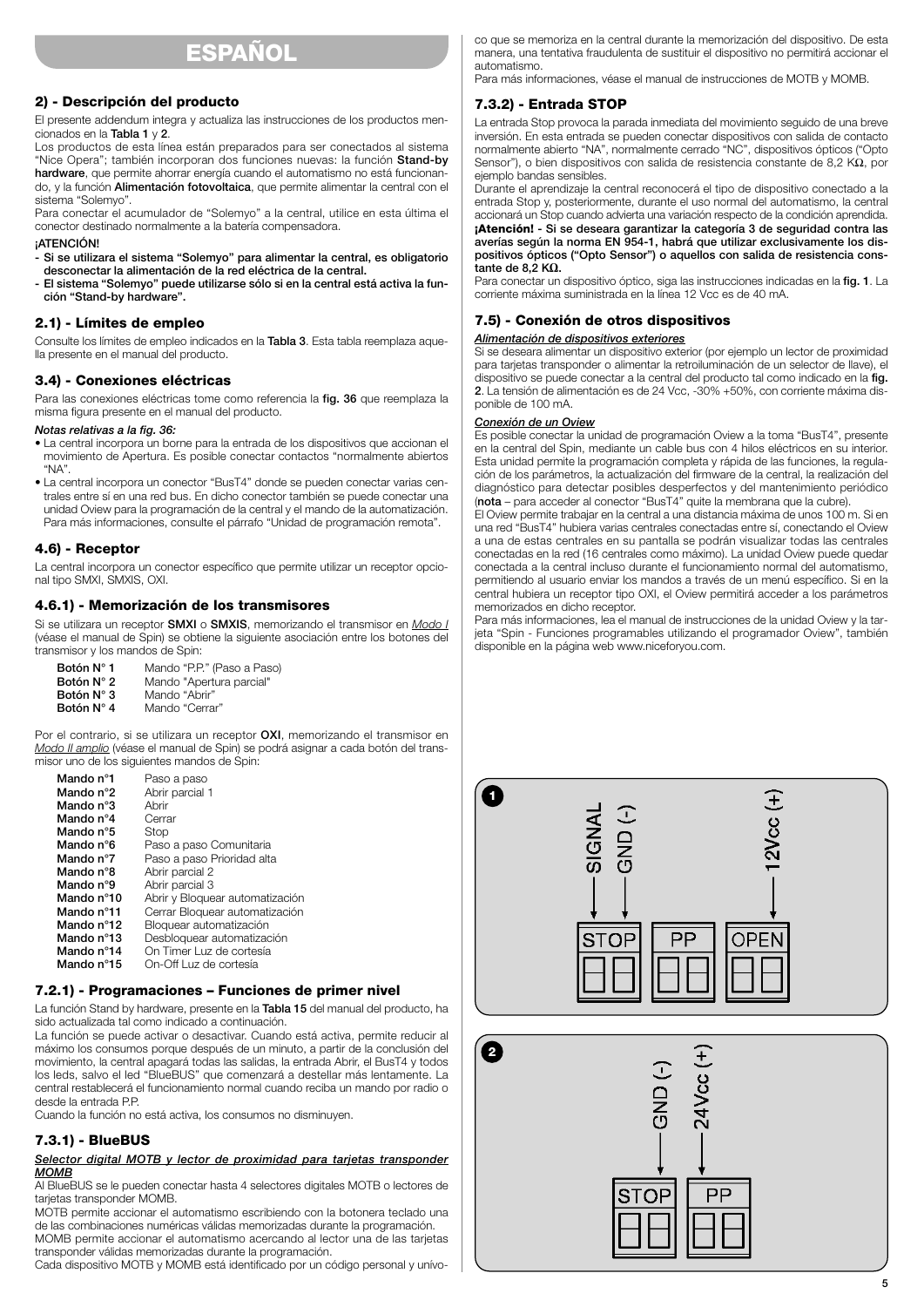## **ESPAÑOL**

## **2) - Descripción del producto**

El presente addendum integra y actualiza las instrucciones de los productos mencionados en la **Tabla 1** y **2**.

Los productos de esta línea están preparados para ser conectados al sistema "Nice Opera"; también incorporan dos funciones nuevas: la función **Stand-by hardware**, que permite ahorrar energía cuando el automatismo no está funcionando, y la función **Alimentación fotovoltaica**, que permite alimentar la central con el sistema "Solemyo".

Para conectar el acumulador de "Solemyo" a la central, utilice en esta última el conector destinado normalmente a la batería compensadora.

#### **¡ATENCIÓN!**

- **Si se utilizara el sistema "Solemyo" para alimentar la central, es obligatorio desconectar la alimentación de la red eléctrica de la central.**
- **El sistema "Solemyo" puede utilizarse sólo si en la central está activa la función "Stand-by hardware".**

#### **2.1) - Límites de empleo**

Consulte los límites de empleo indicados en la **Tabla 3**. Esta tabla reemplaza aquella presente en el manual del producto.

#### **3.4) - Conexiones eléctricas**

Para las conexiones eléctricas tome como referencia la **fig. 36** que reemplaza la misma figura presente en el manual del producto.

#### *Notas relativas a la fig. 36:*

- La central incorpora un borne para la entrada de los dispositivos que accionan el movimiento de Apertura. Es posible conectar contactos "normalmente abiertos "NA".
- La central incorpora un conector "BusT4" donde se pueden conectar varias centrales entre sí en una red bus. En dicho conector también se puede conectar una unidad Oview para la programación de la central y el mando de la automatización. Para más informaciones, consulte el párrafo "Unidad de programación remota".

#### **4.6) - Receptor**

La central incorpora un conector específico que permite utilizar un receptor opcional tipo SMXI, SMXIS, OXI.

## **4.6.1) - Memorización de los transmisores**

Si se utilizara un receptor **SMXI** o **SMXIS**, memorizando el transmisor en *Modo I* (véase el manual de Spin) se obtiene la siguiente asociación entre los botones del transmisor y los mandos de Spin:

**Botón N° 1** Mando "P.P." (Paso a Paso)<br>**Botón N° 2** Mando "Apertura parcial" **Botón N° 2** Mando "Apertura parcial"<br>**Botón N° 3** Mando "Abrir" **Botón N° 3** Mando "Abrir"<br>**Botón N° 4** Mando "Cerra Mando "Cerrar"

Por el contrario, si se utilizara un receptor **OXI**, memorizando el transmisor en *Modo II amplio* (véase el manual de Spin) se podrá asignar a cada botón del transmisor uno de los siguientes mandos de Spin:

| Mando n°1  | Paso a paso                     |
|------------|---------------------------------|
| Mando n°2  | Abrir parcial 1                 |
| Mando n°3  | Ahrir                           |
| Mando n°4  | Cerrar                          |
| Mando n°5  | Stop                            |
| Mando n°6  | Paso a paso Comunitaria         |
| Mando n°7  | Paso a paso Prioridad alta      |
| Mando n°8  | Abrir parcial 2                 |
| Mando n°9  | Abrir parcial 3                 |
| Mando n°10 | Abrir y Bloquear automatización |
| Mando n°11 | Cerrar Bloquear automatización  |
| Mando n°12 | Bloguear automatización         |
| Mando n°13 | Desbloquear automatización      |
| Mando n°14 | On Timer Luz de cortesía        |
| Mando n°15 | On-Off Luz de cortesía          |

## **7.2.1) - Programaciones – Funciones de primer nivel**

La función Stand by hardware, presente en la **Tabla 15** del manual del producto, ha sido actualizada tal como indicado a continuación.

La función se puede activar o desactivar. Cuando está activa, permite reducir al máximo los consumos porque después de un minuto, a partir de la conclusión del movimiento, la central apagará todas las salidas, la entrada Abrir, el BusT4 y todos los leds, salvo el led "BlueBUS" que comenzará a destellar más lentamente. La central restablecerá el funcionamiento normal cuando reciba un mando por radio o desde la entrada P.P.

Cuando la función no está activa, los consumos no disminuyen.

#### **7.3.1) - BlueBUS**

#### *Selector digital MOTB y lector de proximidad para tarjetas transponder MOMB*

Al BlueBUS se le pueden conectar hasta 4 selectores digitales MOTB o lectores de tarietas transponder MOMB.

MOTB permite accionar el automatismo escribiendo con la botonera teclado una de las combinaciones numéricas válidas memorizadas durante la programación. MOMB permite accionar el automatismo acercando al lector una de las tarjetas transponder válidas memorizadas durante la programación.

Cada dispositivo MOTB y MOMB está identificado por un código personal y unívo-

co que se memoriza en la central durante la memorización del dispositivo. De esta manera, una tentativa fraudulenta de sustituir el dispositivo no permitirá accionar el automatismo.

Para más informaciones, véase el manual de instrucciones de MOTB y MOMB.

#### **7.3.2) - Entrada STOP**

La entrada Stop provoca la parada inmediata del movimiento seguido de una breve inversión. En esta entrada se pueden conectar dispositivos con salida de contacto normalmente abierto "NA", normalmente cerrado "NC", dispositivos ópticos ("Opto Sensor"), o bien dispositivos con salida de resistencia constante de 8,2 KΩ, por ejemplo bandas sensibles.

Durante el aprendizaje la central reconocerá el tipo de dispositivo conectado a la entrada Stop y, posteriormente, durante el uso normal del automatismo, la central accionará un Stop cuando advierta una variación respecto de la condición aprendida. **¡Atención! - Si se deseara garantizar la categoría 3 de seguridad contra las averías según la norma EN 954-1, habrá que utilizar exclusivamente los dispositivos ópticos ("Opto Sensor") o aquellos con salida de resistencia constante de 8,2 KΩ.**

Para conectar un dispositivo óptico, siga las instrucciones indicadas en la **fig. 1**. La corriente máxima suministrada en la línea 12 Vcc es de 40 mA.

### **7.5) - Conexión de otros dispositivos**

#### *Alimentación de dispositivos exteriores*

Si se deseara alimentar un dispositivo exterior (por ejemplo un lector de proximidad para tarjetas transponder o alimentar la retroiluminación de un selector de llave), el dispositivo se puede conectar a la central del producto tal como indicado en la **fig. 2**. La tensión de alimentación es de 24 Vcc, -30% +50%, con corriente máxima disponible de 100 mA.

#### *Conexión de un Oview*

Es posible conectar la unidad de programación Oview a la toma "BusT4", presente en la central del Spin, mediante un cable bus con 4 hilos eléctricos en su interior. Esta unidad permite la programación completa y rápida de las funciones, la regulación de los parámetros, la actualización del firmware de la central, la realización del diagnóstico para detectar posibles desperfectos y del mantenimiento periódico (**nota** – para acceder al conector "BusT4" quite la membrana que la cubre).

El Oview permite trabajar en la central a una distancia máxima de unos 100 m. Si en una red "BusT4" hubiera varias centrales conectadas entre sí, conectando el Oview a una de estas centrales en su pantalla se podrán visualizar todas las centrales conectadas en la red (16 centrales como máximo). La unidad Oview puede quedar conectada a la central incluso durante el funcionamiento normal del automatismo, permitiendo al usuario enviar los mandos a través de un menú específico. Si en la central hubiera un receptor tipo OXI, el Oview permitirá acceder a los parámetros memorizados en dicho receptor.

Para más informaciones, lea el manual de instrucciones de la unidad Oview y la tarjeta "Spin - Funciones programables utilizando el programador Oview", también disponible en la página web www.niceforyou.com.

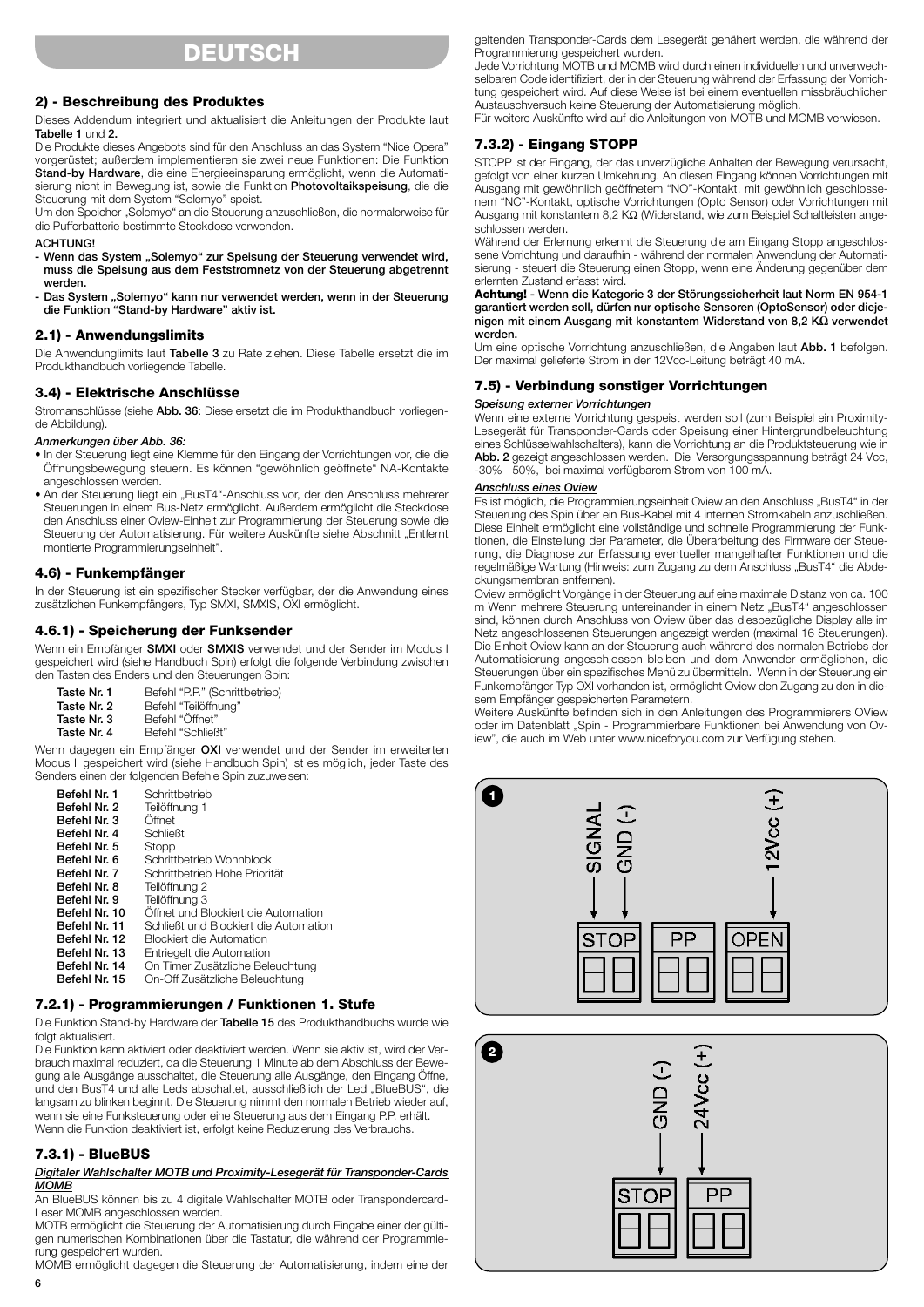## **DEUTSCH**

## **2) - Beschreibung des Produktes**

Dieses Addendum integriert und aktualisiert die Anleitungen der Produkte laut **Tabelle 1** und **2.**

Die Produkte dieses Angebots sind für den Anschluss an das System "Nice Opera" vorgerüstet; außerdem implementieren sie zwei neue Funktionen: Die Funktion **Stand-by Hardware**, die eine Energieeinsparung ermöglicht, wenn die Automatisierung nicht in Bewegung ist, sowie die Funktion **Photovoltaikspeisung**, die die Steuerung mit dem System "Solemyo" speist.

Um den Speicher "Solemyo" an die Steuerung anzuschließen, die normalerweise für die Pufferbatterie bestimmte Steckdose verwenden.

#### **ACHTUNG!**

- Wenn das System "Solemyo" zur Speisung der Steuerung verwendet wird, **muss die Speisung aus dem Feststromnetz von der Steuerung abgetrennt werden.**

- Das System "Solemyo" kann nur verwendet werden, wenn in der Steuerung **die Funktion "Stand-by Hardware" aktiv ist.**

## **2.1) - Anwendungslimits**

Die Anwendunglimits laut **Tabelle 3** zu Rate ziehen. Diese Tabelle ersetzt die im Produkthandbuch vorliegende Tabelle.

### **3.4) - Elektrische Anschlüsse**

Stromanschlüsse (siehe **Abb. 36**: Diese ersetzt die im Produkthandbuch vorliegende Abbildung).

#### *Anmerkungen über Abb. 36:*

- In der Steuerung liegt eine Klemme für den Eingang der Vorrichtungen vor, die die Öffnungsbewegung steuern. Es können "gewöhnlich geöffnete" NA-Kontakte angeschlossen werden.
- An der Steuerung liegt ein "BusT4"-Anschluss vor, der den Anschluss mehrerer Steuerungen in einem Bus-Netz ermöglicht. Außerdem ermöglicht die Steckdose den Anschluss einer Oview-Einheit zur Programmierung der Steuerung sowie die Steuerung der Automatisierung. Für weitere Auskünfte siehe Abschnitt "Entfernt montierte Programmierungseinheit".

#### **4.6) - Funkempfänger**

In der Steuerung ist ein spezifischer Stecker verfügbar, der die Anwendung eines zusätzlichen Funkempfängers, Typ SMXI, SMXIS, OXI ermöglicht.

### **4.6.1) - Speicherung der Funksender**

Wenn ein Empfänger **SMXI** oder **SMXIS** verwendet und der Sender im Modus I gespeichert wird (siehe Handbuch Spin) erfolgt die folgende Verbindung zwischen den Tasten des Enders und den Steuerungen Spin:

| Taste Nr. 1 | Befehl "P.P." (Schrittbetrieb) |
|-------------|--------------------------------|
| Taste Nr. 2 | Befehl "Teilöffnung"           |
| Taste Nr. 3 | Befehl "Öffnet"                |
| Taste Nr. 4 | Befehl "Schließt"              |

Wenn dagegen ein Empfänger **OXI** verwendet und der Sender im erweiterten Modus II gespeichert wird (siehe Handbuch Spin) ist es möglich, jeder Taste des Senders einen der folgenden Befehle Spin zuzuweisen:

| Befehl Nr. 1  | Schrittbetrieb                        |
|---------------|---------------------------------------|
| Befehl Nr. 2  | Teilöffnung 1                         |
| Befehl Nr. 3  | Öffnet                                |
| Befehl Nr. 4  | <b>Schließt</b>                       |
| Befehl Nr. 5  | Stopp                                 |
| Befehl Nr. 6  | Schrittbetrieb Wohnblock              |
| Befehl Nr. 7  | Schrittbetrieb Hohe Priorität         |
| Befehl Nr. 8  | Teilöffnung 2                         |
| Befehl Nr. 9  | Teilöffnung 3                         |
| Befehl Nr. 10 | Offnet und Blockiert die Automation   |
| Befehl Nr. 11 | Schließt und Blockiert die Automation |
| Befehl Nr. 12 | <b>Blockiert die Automation</b>       |
| Befehl Nr. 13 | Entriegelt die Automation             |
| Befehl Nr. 14 | On Timer Zusätzliche Beleuchtung      |
| Befehl Nr. 15 | On-Off Zusätzliche Beleuchtung        |

## **7.2.1) - Programmierungen / Funktionen 1. Stufe**

Die Funktion Stand-by Hardware der **Tabelle 15** des Produkthandbuchs wurde wie folgt aktualisiert.

Die Funktion kann aktiviert oder deaktiviert werden. Wenn sie aktiv ist, wird der Verbrauch maximal reduziert, da die Steuerung 1 Minute ab dem Abschluss der Bewegung alle Ausgänge ausschaltet, die Steuerung alle Ausgänge, den Eingang Öffne, und den BusT4 und alle Leds abschaltet, ausschließlich der Led "BlueBUS", die langsam zu blinken beginnt. Die Steuerung nimmt den normalen Betrieb wieder auf, wenn sie eine Funksteuerung oder eine Steuerung aus dem Eingang P.P. erhält. Wenn die Funktion deaktiviert ist, erfolgt keine Reduzierung des Verbrauchs.

## **7.3.1) - BlueBUS**

#### *Digitaler Wahlschalter MOTB und Proximity-Lesegerät für Transponder-Cards MOMB*

An BlueBUS können bis zu 4 digitale Wahlschalter MOTB oder Transpondercard-Leser MOMB angeschlossen werden.

MOTB ermöglicht die Steuerung der Automatisierung durch Eingabe einer der gültigen numerischen Kombinationen über die Tastatur, die während der Programmierung gespeichert wurden.

MOMB ermöglicht dagegen die Steuerung der Automatisierung, indem eine der

geltenden Transponder-Cards dem Lesegerät genähert werden, die während der Programmierung gespeichert wurden.

Jede Vorrichtung MOTB und MOMB wird durch einen individuellen und unverwechselbaren Code identifiziert, der in der Steuerung während der Erfassung der Vorrichtung gespeichert wird. Auf diese Weise ist bei einem eventuellen missbräuchlichen Austauschversuch keine Steuerung der Automatisierung möglich.

Für weitere Auskünfte wird auf die Anleitungen von MOTB und MOMB verwiesen.

## **7.3.2) - Eingang STOPP**

STOPP ist der Eingang, der das unverzügliche Anhalten der Bewegung verursacht, gefolgt von einer kurzen Umkehrung. An diesen Eingang können Vorrichtungen mit Ausgang mit gewöhnlich geöffnetem "NO"-Kontakt, mit gewöhnlich geschlossenem "NC"-Kontakt, optische Vorrichtungen (Opto Sensor) oder Vorrichtungen mit Ausgang mit konstantem 8,2 KΩ (Widerstand, wie zum Beispiel Schaltleisten angeschlossen werden.

Während der Erlernung erkennt die Steuerung die am Eingang Stopp angeschlossene Vorrichtung und daraufhin - während der normalen Anwendung der Automatisierung - steuert die Steuerung einen Stopp, wenn eine Änderung gegenüber dem erlernten Zustand erfasst wird.

**Achtung! - Wenn die Kategorie 3 der Störungssicherheit laut Norm EN 954-1 garantiert werden soll, dürfen nur optische Sensoren (OptoSensor) oder diejenigen mit einem Ausgang mit konstantem Widerstand von 8,2 KΩ verwendet werden.**

Um eine optische Vorrichtung anzuschließen, die Angaben laut **Abb. 1** befolgen. Der maximal gelieferte Strom in der 12Vcc-Leitung beträgt 40 mA.

### **7.5) - Verbindung sonstiger Vorrichtungen**

#### *Speisung externer Vorrichtungen*

Wenn eine externe Vorrichtung gespeist werden soll (zum Beispiel ein Proximity-Lesegerät für Transponder-Cards oder Speisung einer Hintergrundbeleuchtung eines Schlüsselwahlschalters), kann die Vorrichtung an die Produktsteuerung wie in **Abb. 2** gezeigt angeschlossen werden. Die Versorgungsspannung beträgt 24 Vcc, -30% +50%, bei maximal verfügbarem Strom von 100 mA.

#### *Anschluss eines Oview*

Es ist möglich, die Programmierungseinheit Oview an den Anschluss "BusT4" in der Steuerung des Spin über ein Bus-Kabel mit 4 internen Stromkabeln anzuschließen. Diese Einheit ermöglicht eine vollständige und schnelle Programmierung der Funktionen, die Einstellung der Parameter, die Überarbeitung des Firmware der Steuerung, die Diagnose zur Erfassung eventueller mangelhafter Funktionen und die regelmäßige Wartung (Hinweis: zum Zugang zu dem Anschluss "BusT4" die Abdeckungsmembran entfernen).

Oview ermöglicht Vorgänge in der Steuerung auf eine maximale Distanz von ca. 100 m Wenn mehrere Steuerung untereinander in einem Netz "BusT4" angeschlossen sind, können durch Anschluss von Oview über das diesbezügliche Display alle im Netz angeschlossenen Steuerungen angezeigt werden (maximal 16 Steuerungen). Die Einheit Oview kann an der Steuerung auch während des normalen Betriebs der Automatisierung angeschlossen bleiben und dem Anwender ermöglichen, die Steuerungen über ein spezifisches Menü zu übermitteln. Wenn in der Steuerung ein Funkempfänger Typ OXI vorhanden ist, ermöglicht Oview den Zugang zu den in diesem Empfänger gespeicherten Parametern.

Weitere Auskünfte befinden sich in den Anleitungen des Programmierers OView oder im Datenblatt "Spin - Programmierbare Funktionen bei Anwendung von Oview", die auch im Web unter www.niceforyou.com zur Verfügung stehen.

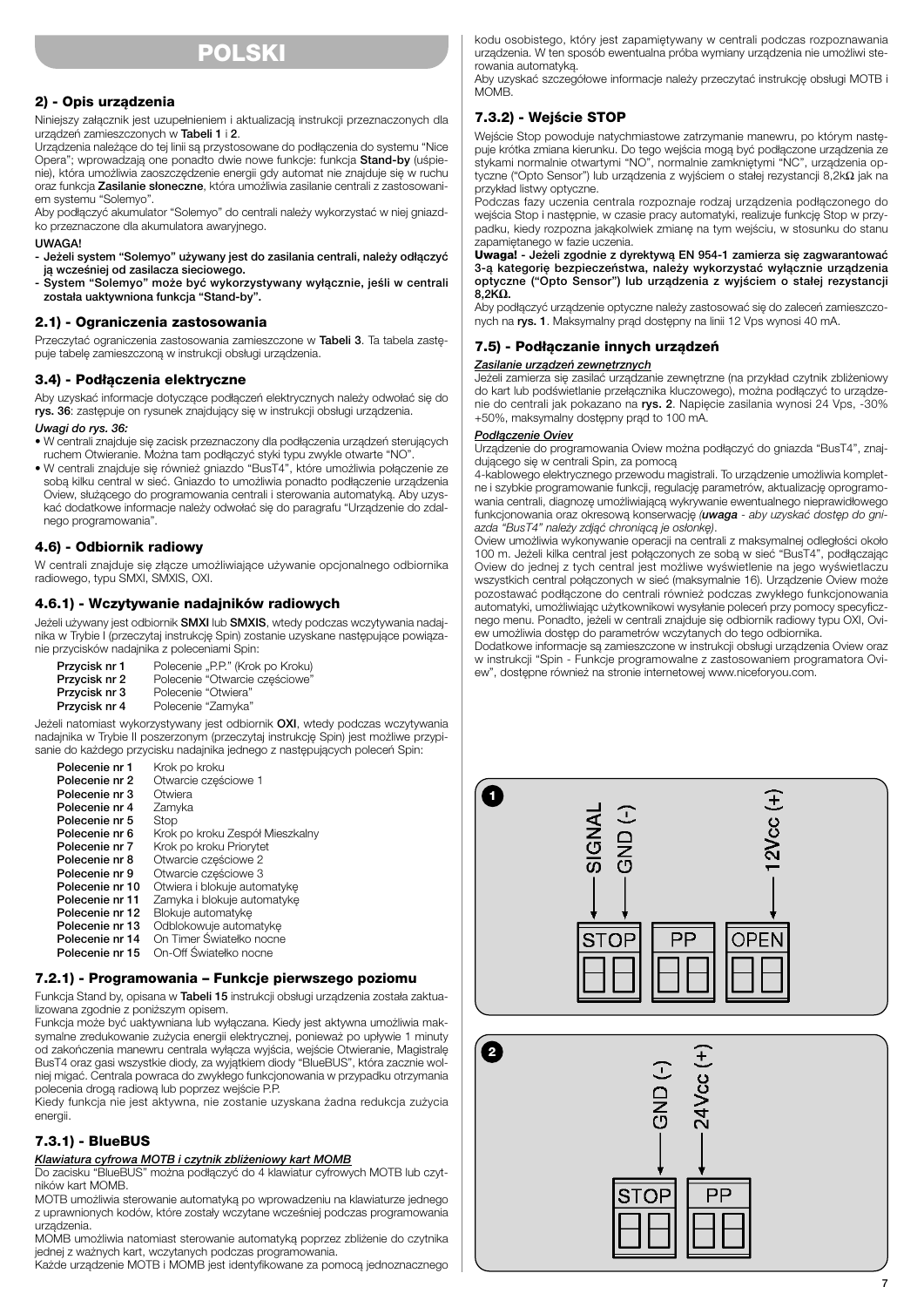## **POLSKI**

#### **2) - Opis urządzenia**

Niniejszy załącznik jest uzupełnieniem i aktualizacją instrukcji przeznaczonych dla urządzeń zamieszczonych w **Tabeli 1** i **2**.

Urządzenia należące do tej linii są przystosowane do podłączenia do systemu "Nice Opera"; wprowadzają one ponadto dwie nowe funkcje: funkcja **Stand-by** (uśpienie), która umożliwia zaoszczędzenie energii gdy automat nie znajduje się w ruchu oraz funkcja **Zasilanie słoneczne**, która umożliwia zasilanie centrali z zastosowaniem systemu "Solemyo".

Aby podłączyć akumulator "Solemyo" do centrali należy wykorzystać w niej gniazdko przeznaczone dla akumulatora awaryjnego.

#### **UWAGA!**

**- Jeżeli system "Solemyo" używany jest do zasilania centrali, należy odłączyć ją wcześniej od zasilacza sieciowego.**

**- System "Solemyo" może być wykorzystywany wyłącznie, jeśli w centrali została uaktywniona funkcja "Stand-by".**

#### **2.1) - Ograniczenia zastosowania**

Przeczytać ograniczenia zastosowania zamieszczone w **Tabeli 3**. Ta tabela zastępuje tabelę zamieszczoną w instrukcji obsługi urządzenia.

## **3.4) - Podłączenia elektryczne**

Aby uzyskać informacje dotyczące podłączeń elektrycznych należy odwołać się do **rys. 36**: zastępuje on rysunek znajdujący się w instrukcji obsługi urządzenia.

## *Uwagi do rys. 36:*

- W centrali znajduje się zacisk przeznaczony dla podłączenia urządzeń sterujących ruchem Otwieranie. Można tam podłączyć styki typu zwykle otwarte "NO".
- W centrali znajduje się również gniazdo "BusT4", które umożliwia połączenie ze sobą kilku central w sieć. Gniazdo to umożliwia ponadto podłączenie urządzenia Oview, służącego do programowania centrali i sterowania automatyką. Aby uzyskać dodatkowe informacje należy odwołać się do paragrafu "Urządzenie do zdalnego programowania".

#### **4.6) - Odbiornik radiowy**

W centrali znajduje się złącze umożliwiające używanie opcjonalnego odbiornika radiowego, typu SMXI, SMXIS, OXI.

### **4.6.1) - Wczytywanie nadajników radiowych**

Jeżeli używany jest odbiornik **SMXI** lub **SMXIS**, wtedy podczas wczytywania nadajnika w Trybie I (przeczytaj instrukcję Spin) zostanie uzyskane następujące powiązanie przycisków nadajnika z poleceniami Spin:

| Przycisk nr 1 | Polecenie "P.P." (Krok po Kroku) |
|---------------|----------------------------------|
| Przycisk nr 2 | Polecenie "Otwarcie częściowe"   |
| Przycisk nr 3 | Polecenie "Otwiera"              |
| Przycisk nr 4 | Polecenie "Zamyka"               |

Jeżeli natomiast wykorzystywany jest odbiornik **OXI**, wtedy podczas wczytywania nadajnika w Trybie II poszerzonym (przeczytaj instrukcję Spin) jest możliwe przypisanie do każdego przycisku nadajnika jednego z następujących poleceń Spin:

| Krok po kroku                   |
|---------------------------------|
| Otwarcie częściowe 1            |
| Otwiera                         |
| Zamyka                          |
| Stop                            |
| Krok po kroku Zespół Mieszkalny |
| Krok po kroku Priorytet         |
| Otwarcie częściowe 2            |
| Otwarcie częściowe 3            |
| Otwiera i blokuje automatyke    |
| Zamyka i blokuje automatyke     |
| Blokuje automatykę              |
| Odblokowuje automatyke          |
| On Timer Światełko nocne        |
| On-Off Światełko nocne          |
|                                 |

#### **7.2.1) - Programowania – Funkcje pierwszego poziomu**

Funkcja Stand by, opisana w **Tabeli 15** instrukcji obsługi urządzenia została zaktualizowana zgodnie z poniższym opisem.

Funkcja może być uaktywniana lub wyłączana. Kiedy jest aktywna umożliwia maksymalne zredukowanie zużycia energii elektrycznej, ponieważ po upływie 1 minuty od zakończenia manewru centrala wyłącza wyjścia, wejście Otwieranie, Magistralę BusT4 oraz gasi wszystkie diody, za wyjątkiem diody "BlueBUS", która zacznie wolniej migać. Centrala powraca do zwykłego funkcjonowania w przypadku otrzymania polecenia drogą radiową lub poprzez wejście P.P.

Kiedy funkcja nie jest aktywna, nie zostanie uzyskana żadna redukcja zużycia energii.

#### **7.3.1) - BlueBUS**

## *Klawiatura cyfrowa MOTB i czytnik zbliżeniowy kart MOMB*

Do zacisku "BlueBUS" można podłączyć do 4 klawiatur cyfrowych MOTB lub czytników kart MOMB.

MOTB umożliwia sterowanie automatyką po wprowadzeniu na klawiaturze jednego z uprawnionych kodów, które zostały wczytane wcześniej podczas programowania urządzenia.

MOMB umożliwia natomiast sterowanie automatyką poprzez zbliżenie do czytnika jednej z ważnych kart, wczytanych podczas programowania.

Każde urządzenie MOTB i MOMB jest identyfikowane za pomocą jednoznacznego

kodu osobistego, który jest zapamiętywany w centrali podczas rozpoznawania urządzenia. W ten sposób ewentualna próba wymiany urządzenia nie umożliwi sterowania automatyką.

Aby uzyskać szczegółowe informacje należy przeczytać instrukcję obsługi MOTB i MÓMB.

## **7.3.2) - Wejście STOP**

Wejście Stop powoduje natychmiastowe zatrzymanie manewru, po którym następuje krótka zmiana kierunku. Do tego wejścia mogą być podłączone urządzenia ze stykami normalnie otwartymi "NO", normalnie zamkniętymi "NC", urządzenia optyczne ("Opto Sensor") lub urządzenia z wyjściem o stałej rezystancji 8,2kΩ jak na przykład listwy optyczne.

Podczas fazy uczenia centrala rozpoznaje rodzaj urządzenia podłączonego do wejścia Stop i następnie, w czasie pracy automatyki, realizuje funkcję Stop w przypadku, kiedy rozpozna jakąkolwiek zmianę na tym wejściu, w stosunku do stanu zapamiętanego w fazie uczenia.

#### **Uwaga! - Jeżeli zgodnie z dyrektywą EN 954-1 zamierza się zagwarantować 3-ą kategorię bezpieczeństwa, należy wykorzystać wyłącznie urządzenia optyczne ("Opto Sensor") lub urządzenia z wyjściem o stałej rezystancji 8,2KΩ.**

Aby podłączyć urządzenie optyczne należy zastosować się do zaleceń zamieszczonych na **rys. 1**. Maksymalny prąd dostępny na linii 12 Vps wynosi 40 mA.

#### **7.5) - Podłączanie innych urządzeń**

#### *Zasilanie urządzeń zewnętrznych*

Jeżeli zamierza się zasilać urządzanie zewnętrzne (na przykład czytnik zbliżeniowy do kart lub podświetlanie przełącznika kluczowego), można podłączyć to urządzenie do centrali jak pokazano na **rys. 2**. Napięcie zasilania wynosi 24 Vps, -30% +50%, maksymalny dostępny prąd to 100 mA.

#### *Podłączenie Oviev*

Urządzenie do programowania Oview można podłączyć do gniazda "BusT4", znajdującego się w centrali Spin, za pomocą

4-kablowego elektrycznego przewodu magistrali. To urządzenie umożliwia kompletne i szybkie programowanie funkcji, regulację parametrów, aktualizację oprogramowania centrali, diagnozę umożliwiającą wykrywanie ewentualnego nieprawidłowego funkcjonowania oraz okresową konserwację *(uwaga - aby uzyskać dostęp do gniazda "BusT4" należy zdjąć chroniącą je osłonkę)*.

Oview umożliwia wykonywanie operacji na centrali z maksymalnej odległości około 100 m. Jeżeli kilka central jest połączonych ze sobą w sieć "BusT4", podłączając Oview do jednej z tych central jest możliwe wyświetlenie na jego wyświetlaczu wszystkich central połączonych w sieć (maksymalnie 16). Urządzenie Oview może pozostawać podłączone do centrali również podczas zwykłego funkcjonowania automatyki, umożliwiając użytkownikowi wysyłanie poleceń przy pomocy specyficznego menu. Ponadto, jeżeli w centrali znajduje się odbiornik radiowy typu OXI, Oview umożliwia dostęp do parametrów wczytanych do tego odbiornika.

Dodatkowe informacje są zamieszczone w instrukcji obsługi urządzenia Oview oraz w instrukcji "Spin - Funkcje programowalne z zastosowaniem programatora Oview", dostępne również na stronie internetowej www.niceforyou.com.

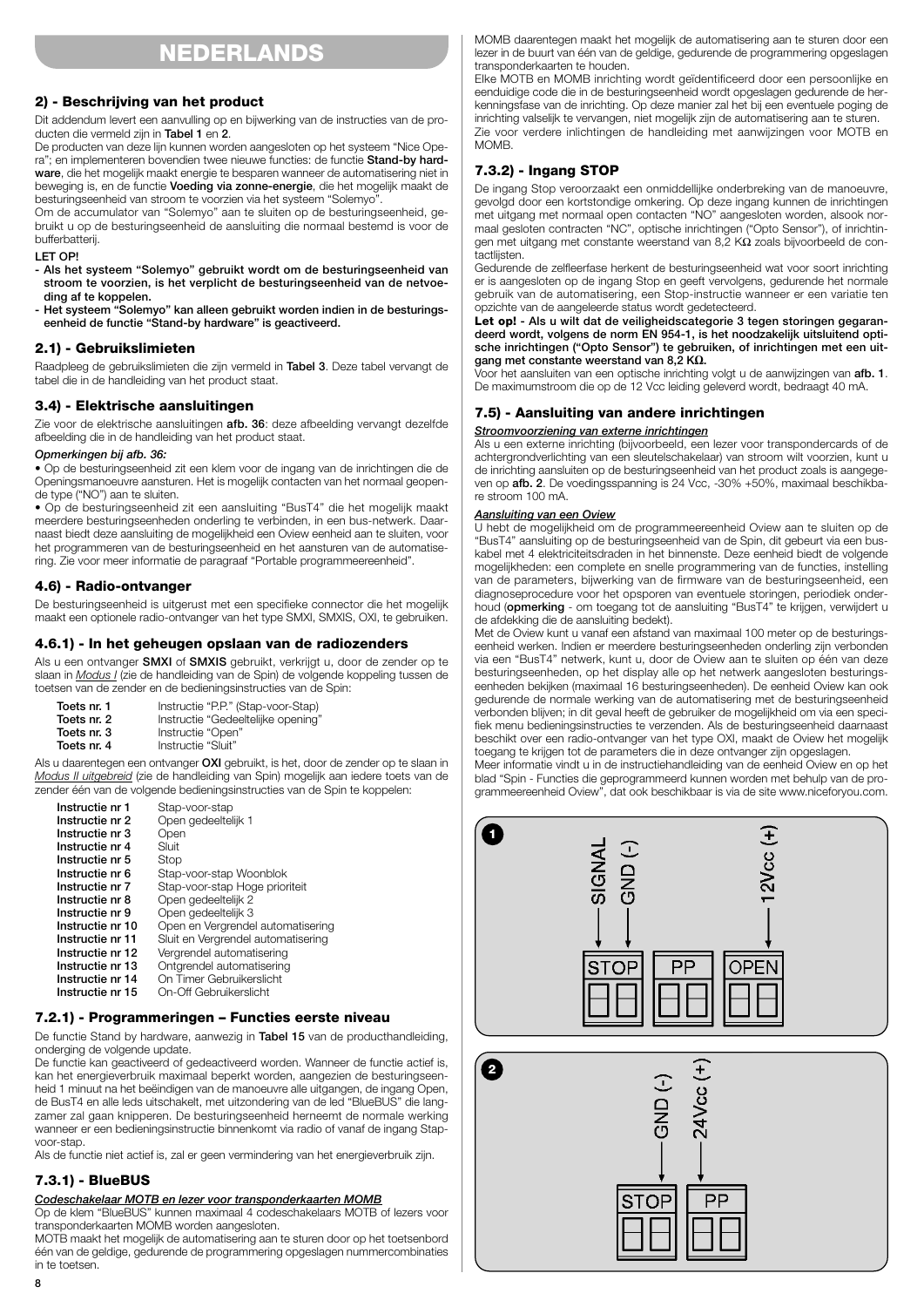## **NEDERLANDS**

## **2) - Beschrijving van het product**

Dit addendum levert een aanvulling op en bijwerking van de instructies van de producten die vermeld zijn in **Tabel 1** en **2**.

De producten van deze lijn kunnen worden aangesloten op het systeem "Nice Opera"; en implementeren bovendien twee nieuwe functies: de functie **Stand-by hardware**, die het mogelijk maakt energie te besparen wanneer de automatisering niet in beweging is, en de functie **Voeding via zonne-energie**, die het mogelijk maakt de besturingseenheid van stroom te voorzien via het systeem "Solemyo".

Om de accumulator van "Solemyo" aan te sluiten op de besturingseenheid, gebruikt u op de besturingseenheid de aansluiting die normaal bestemd is voor de bufferbatterij.

#### **LET OP!**

**- Als het systeem "Solemyo" gebruikt wordt om de besturingseenheid van stroom te voorzien, is het verplicht de besturingseenheid van de netvoeding af te koppelen.**

**- Het systeem "Solemyo" kan alleen gebruikt worden indien in de besturingseenheid de functie "Stand-by hardware" is geactiveerd.**

## **2.1) - Gebruikslimieten**

Raadpleeg de gebruikslimieten die zijn vermeld in **Tabel 3**. Deze tabel vervangt de tabel die in de handleiding van het product staat.

### **3.4) - Elektrische aansluitingen**

Zie voor de elektrische aansluitingen **afb. 36**: deze afbeelding vervangt dezelfde afbeelding die in de handleiding van het product staat.

#### *Opmerkingen bij afb. 36:*

• Op de besturingseenheid zit een klem voor de ingang van de inrichtingen die de Openingsmanoeuvre aansturen. Het is mogelijk contacten van het normaal geopende type ("NO") aan te sluiten.

• Op de besturingseenheid zit een aansluiting "BusT4" die het mogelijk maakt meerdere besturingseenheden onderling te verbinden, in een bus-netwerk. Daarnaast biedt deze aansluiting de mogelijkheid een Oview eenheid aan te sluiten, voor het programmeren van de besturingseenheid en het aansturen van de automatisering. Zie voor meer informatie de paragraaf "Portable programmeereenheid".

## **4.6) - Radio-ontvanger**

De besturingseenheid is uitgerust met een specifieke connector die het mogelijk maakt een optionele radio-ontvanger van het type SMXI, SMXIS, OXI, te gebruiken.

## **4.6.1) - In het geheugen opslaan van de radiozenders**

Als u een ontvanger **SMXI** of **SMXIS** gebruikt, verkrijgt u, door de zender op te slaan in *Modus I* (zie de handleiding van de Spin) de volgende koppeling tussen de toetsen van de zender en de bedieningsinstructies van de Spin:

| Toets nr. 1 | Instructie "P.P." (Stap-voor-Stap) |
|-------------|------------------------------------|
| Toets nr. 2 | Instructie "Gedeeltelijke opening" |
| Toets nr. 3 | Instructie "Open"                  |
| Toets nr. 4 | Instructie "Sluit"                 |

Als u daarentegen een ontvanger **OXI** gebruikt, is het, door de zender op te slaan in *Modus II uitgebreid* (zie de handleiding van Spin) mogelijk aan iedere toets van de zender één van de volgende bedieningsinstructies van de Spin te koppelen:

| Instructie nr 1  | Stap-voor-stap                     |
|------------------|------------------------------------|
| Instructie nr 2  | Open gedeeltelijk 1                |
| Instructie nr 3  | Open                               |
| Instructie nr 4  | Sluit                              |
| Instructie nr 5  | Stop                               |
| Instructie nr 6  | Stap-voor-stap Woonblok            |
| Instructie nr 7  | Stap-voor-stap Hoge prioriteit     |
| Instructie nr 8  | Open gedeeltelijk 2                |
| Instructie nr 9  | Open gedeeltelijk 3                |
| Instructie nr 10 | Open en Vergrendel automatisering  |
| Instructie nr 11 | Sluit en Vergrendel automatisering |
| Instructie nr 12 | Vergrendel automatisering          |
| Instructie nr 13 | Ontgrendel automatisering          |
| Instructie nr 14 | On Timer Gebruikerslicht           |
| Instructie nr 15 | On-Off Gebruikerslicht             |

## **7.2.1) - Programmeringen – Functies eerste niveau**

De functie Stand by hardware, aanwezig in **Tabel 15** van de producthandleiding, onderging de volgende update.

De functie kan geactiveerd of gedeactiveerd worden. Wanneer de functie actief is, kan het energieverbruik maximaal beperkt worden, aangezien de besturingseenheid 1 minuut na het beëindigen van de manoeuvre alle uitgangen, de ingang Open, de BusT4 en alle leds uitschakelt, met uitzondering van de led "BlueBUS" die langzamer zal gaan knipperen. De besturingseenheid herneemt de normale werking wanneer er een bedieningsinstructie binnenkomt via radio of vanaf de ingang Stapvoor-stap.

Als de functie niet actief is, zal er geen vermindering van het energieverbruik zijn.

## **7.3.1) - BlueBUS**

## *Codeschakelaar MOTB en lezer voor transponderkaarten MOMB*

Op de klem "BlueBUS" kunnen maximaal 4 codeschakelaars MOTB of lezers voor transponderkaarten MOMB worden aangesloten.

MOTB maakt het mogelijk de automatisering aan te sturen door op het toetsenbord één van de geldige, gedurende de programmering opgeslagen nummercombinaties in te toetsen.

MOMB daarentegen maakt het mogelijk de automatisering aan te sturen door een lezer in de buurt van één van de geldige, gedurende de programmering opgeslagen transponderkaarten te houden.

Elke MOTB en MOMB inrichting wordt geïdentificeerd door een persoonlijke en eenduidige code die in de besturingseenheid wordt opgeslagen gedurende de herkenningsfase van de inrichting. Op deze manier zal het bij een eventuele poging de inrichting valselijk te vervangen, niet mogelijk zijn de automatisering aan te sturen. Zie voor verdere inlichtingen de handleiding met aanwijzingen voor MOTB en MOMB.

## **7.3.2) - Ingang STOP**

De ingang Stop veroorzaakt een onmiddellijke onderbreking van de manoeuvre, gevolgd door een kortstondige omkering. Op deze ingang kunnen de inrichtingen met uitgang met normaal open contacten "NO" aangesloten worden, alsook normaal gesloten contracten "NC", optische inrichtingen ("Opto Sensor"), of inrichtingen met uitgang met constante weerstand van 8,2 KΩ zoals bijvoorbeeld de contactlijsten.

Gedurende de zelfleerfase herkent de besturingseenheid wat voor soort inrichting er is aangesloten op de ingang Stop en geeft vervolgens, gedurende het normale gebruik van de automatisering, een Stop-instructie wanneer er een variatie ten opzichte van de aangeleerde status wordt gedetecteerd.

Let op! - Als u wilt dat de veiligheidscategorie 3 tegen storingen gegaran**deerd wordt, volgens de norm EN 954-1, is het noodzakelijk uitsluitend optische inrichtingen ("Opto Sensor") te gebruiken, of inrichtingen met een uitgang met constante weerstand van 8,2 KΩ.**

Voor het aansluiten van een optische inrichting volgt u de aanwijzingen van **afb. 1**. De maximumstroom die op de 12 Vcc leiding geleverd wordt, bedraagt 40 mA.

## **7.5) - Aansluiting van andere inrichtingen**

### *Stroomvoorziening van externe inrichtingen*

Als u een externe inrichting (bijvoorbeeld, een lezer voor transpondercards of de achtergrondverlichting van een sleutelschakelaar) van stroom wilt voorzien, kunt u de inrichting aansluiten op de besturingseenheid van het product zoals is aangegeven op **afb. 2**. De voedingsspanning is 24 Vcc, -30% +50%, maximaal beschikbare stroom 100 mA

#### *Aansluiting van een Oview*

U hebt de mogelijkheid om de programmeereenheid Oview aan te sluiten op de "BusT4" aansluiting op de besturingseenheid van de Spin, dit gebeurt via een buskabel met 4 elektriciteitsdraden in het binnenste. Deze eenheid biedt de volgende mogelijkheden: een complete en snelle programmering van de functies, instelling van de parameters, bijwerking van de firmware van de besturingseenheid, een diagnoseprocedure voor het opsporen van eventuele storingen, periodiek onderhoud (**opmerking** - om toegang tot de aansluiting "BusT4" te krijgen, verwijdert u de afdekking die de aansluiting bedekt).

Met de Oview kunt u vanaf een afstand van maximaal 100 meter op de besturingseenheid werken. Indien er meerdere besturingseenheden onderling zijn verbonden via een "BusT4" netwerk, kunt u, door de Oview aan te sluiten op één van deze besturingseenheden, op het display alle op het netwerk aangesloten besturingseenheden bekijken (maximaal 16 besturingseenheden). De eenheid Oview kan ook gedurende de normale werking van de automatisering met de besturingseenheid verbonden blijven; in dit geval heeft de gebruiker de mogelijkheid om via een specifiek menu bedieningsinstructies te verzenden. Als de besturingseenheid daarnaast beschikt over een radio-ontvanger van het type OXI, maakt de Oview het mogelijk toegang te krijgen tot de parameters die in deze ontvanger zijn opgeslagen.

Meer informatie vindt u in de instructiehandleiding van de eenheid Oview en op het blad "Spin - Functies die geprogrammeerd kunnen worden met behulp van de programmeereenheid Oview", dat ook beschikbaar is via de site www.niceforyou.com.

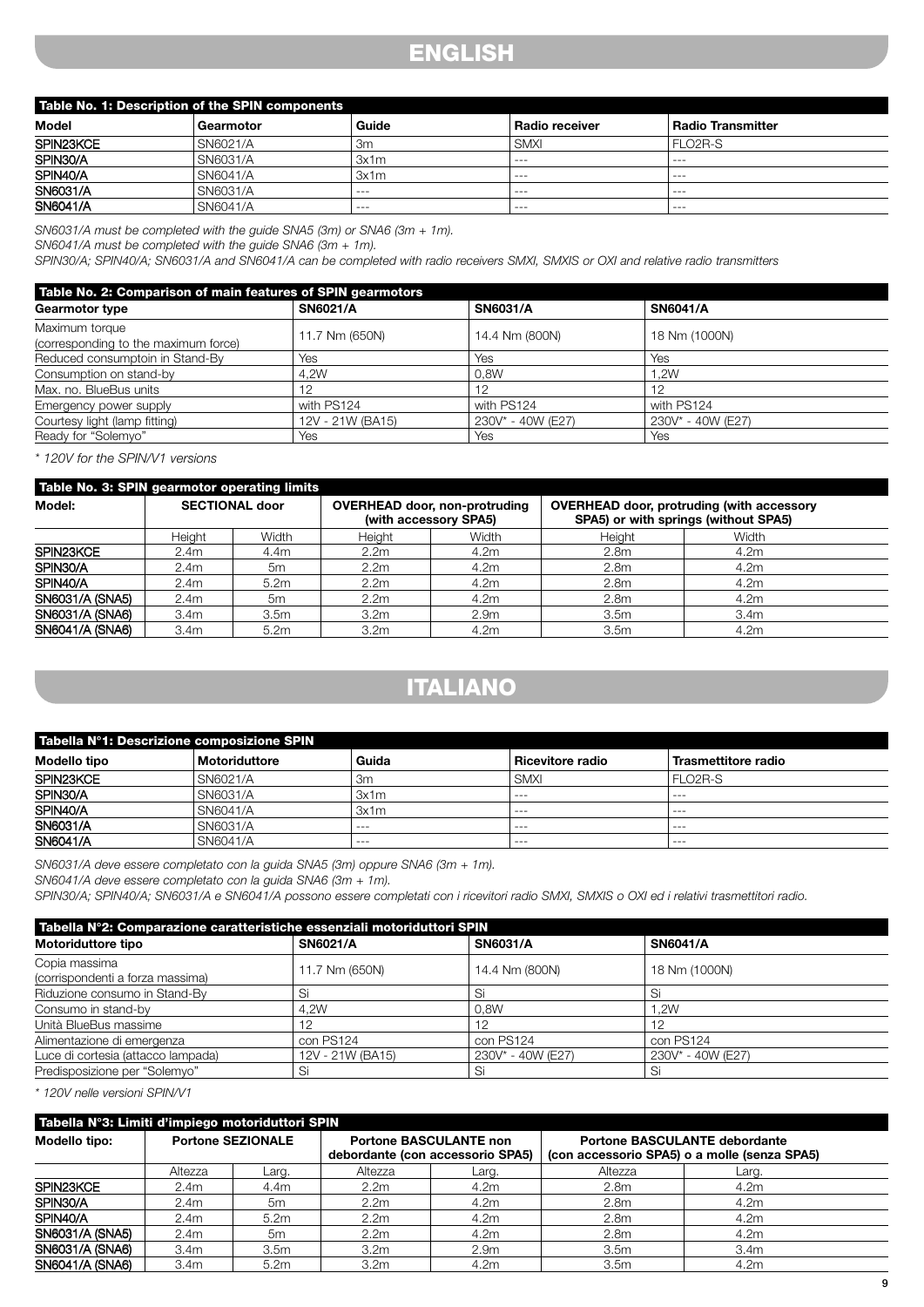## **ENGLISH**

| Table No. 1: Description of the SPIN components |           |         |                       |                          |  |  |
|-------------------------------------------------|-----------|---------|-----------------------|--------------------------|--|--|
| Model                                           | Gearmotor | Guide   | <b>Radio receiver</b> | <b>Radio Transmitter</b> |  |  |
| SPIN23KCE                                       | SN6021/A  | Зm      | <b>SMXI</b>           | FLO <sub>2</sub> R-S     |  |  |
| SPIN30/A                                        | SN6031/A  | 3x1m    | $- - -$               | $- - -$                  |  |  |
| SPIN40/A                                        | SN6041/A  | 3x1m    | $- - -$               | ---                      |  |  |
| <b>SN6031/A</b>                                 | SN6031/A  | ---     | $- - -$               | $- - -$                  |  |  |
| SN6041/A                                        | SN6041/A  | $- - -$ | $- - -$               | $- - -$                  |  |  |

*SN6031/A must be completed with the guide SNA5 (3m) or SNA6 (3m + 1m). SN6041/A must be completed with the guide SNA6 (3m + 1m).*

*SPIN30/A; SPIN40/A; SN6031/A and SN6041/A can be completed with radio receivers SMXI, SMXIS or OXI and relative radio transmitters*

| Table No. 2: Comparison of main features of SPIN gearmotors |                  |                   |                   |  |  |  |
|-------------------------------------------------------------|------------------|-------------------|-------------------|--|--|--|
| <b>Gearmotor type</b>                                       | <b>SN6021/A</b>  | <b>SN6031/A</b>   | <b>SN6041/A</b>   |  |  |  |
| Maximum torque<br>(corresponding to the maximum force)      | 11.7 Nm (650N)   | 14.4 Nm (800N)    | 18 Nm (1000N)     |  |  |  |
| Reduced consumptoin in Stand-By                             | Yes              | Yes               | Yes               |  |  |  |
| Consumption on stand-by                                     | 4.2W             | 0.8W              | 1.2W              |  |  |  |
| Max. no. BlueBus units                                      | 12               | 12                | 12                |  |  |  |
| Emergency power supply                                      | with PS124       | with PS124        | with PS124        |  |  |  |
| Courtesy light (lamp fitting)                               | 12V - 21W (BA15) | 230V* - 40W (E27) | 230V* - 40W (E27) |  |  |  |
| Ready for "Solemyo"                                         | Yes              | Yes               | Yes               |  |  |  |

*\* 120V for the SPIN/V1 versions*

| Table No. 3: SPIN gearmotor operating limits |                  |                                                               |                  |                                                                                          |                  |                  |  |
|----------------------------------------------|------------------|---------------------------------------------------------------|------------------|------------------------------------------------------------------------------------------|------------------|------------------|--|
| Model:<br><b>SECTIONAL door</b>              |                  | <b>OVERHEAD door, non-protruding</b><br>(with accessory SPA5) |                  | <b>OVERHEAD door, protruding (with accessory</b><br>SPA5) or with springs (without SPA5) |                  |                  |  |
|                                              | Height           | Width                                                         | Height           | Width                                                                                    | Height           | Width            |  |
| SPIN <sub>23</sub> KCE                       | 2.4 <sub>m</sub> | 4.4m                                                          | 2.2 <sub>m</sub> | 4.2 <sub>m</sub>                                                                         | 2.8 <sub>m</sub> | 4.2m             |  |
| SPIN30/A                                     | 2.4 <sub>m</sub> | 5m                                                            | 2.2 <sub>m</sub> | 4.2 <sub>m</sub>                                                                         | 2.8 <sub>m</sub> | 4.2m             |  |
| SPIN <sub>40</sub> /A                        | 2.4 <sub>m</sub> | 5.2m                                                          | 2.2 <sub>m</sub> | 4.2 <sub>m</sub>                                                                         | 2.8 <sub>m</sub> | 4.2m             |  |
| SN6031/A (SNA5)                              | 2.4 <sub>m</sub> | 5m                                                            | 2.2 <sub>m</sub> | 4.2 <sub>m</sub>                                                                         | 2.8 <sub>m</sub> | 4.2 <sub>m</sub> |  |
| SN6031/A (SNA6)                              | 3.4 <sub>m</sub> | 3.5 <sub>m</sub>                                              | 3.2 <sub>m</sub> | 2.9 <sub>m</sub>                                                                         | 3.5 <sub>m</sub> | 3.4 <sub>m</sub> |  |
| SN6041/A (SNA6)                              | 3.4 <sub>m</sub> | 5.2m                                                          | 3.2 <sub>m</sub> | 4.2m                                                                                     | 3.5 <sub>m</sub> | 4.2m             |  |

# **ITALIANO**

| Tabella N°1: Descrizione composizione SPIN |                      |         |                    |                      |  |  |
|--------------------------------------------|----------------------|---------|--------------------|----------------------|--|--|
| Modello tipo                               | <b>Motoriduttore</b> | Guida   | ⊦ Ricevitore radio | Trasmettitore radio  |  |  |
| SPIN23KCE                                  | SN6021/A             | 3m      | <b>SMXI</b>        | FLO <sub>2</sub> R-S |  |  |
| SPIN30/A                                   | SN6031/A             | 3x1m    | $- - -$            | $- - -$              |  |  |
| SPIN40/A                                   | SN6041/A             | 3x1m    | $- - -$            | ---                  |  |  |
| SN6031/A                                   | SN6031/A             | $- - -$ | $- - -$            | $- - -$              |  |  |
| SN6041/A                                   | SN6041/A             | $- - -$ | $- - -$            | $--$                 |  |  |

*SN6031/A deve essere completato con la guida SNA5 (3m) oppure SNA6 (3m + 1m).*

*SN6041/A deve essere completato con la guida SNA6 (3m + 1m).*

*SPIN30/A; SPIN40/A; SN6031/A e SN6041/A possono essere completati con i ricevitori radio SMXI, SMXIS o OXI ed i relativi trasmettitori radio.*

| Tabella Nº2: Comparazione caratteristiche essenziali motoriduttori SPIN |                  |                   |                   |  |  |
|-------------------------------------------------------------------------|------------------|-------------------|-------------------|--|--|
| Motoriduttore tipo                                                      | SN6021/A         | <b>SN6031/A</b>   | <b>SN6041/A</b>   |  |  |
| Copia massima                                                           | 11.7 Nm (650N)   | 14.4 Nm (800N)    | 18 Nm (1000N)     |  |  |
| (corrispondenti a forza massima)                                        |                  |                   |                   |  |  |
| Riduzione consumo in Stand-By                                           | Si               | Si                | S                 |  |  |
| Consumo in stand-by                                                     | 4.2W             | 0.8W              | 1.2W              |  |  |
| Unità BlueBus massime                                                   | 12               | 12                | 10                |  |  |
| Alimentazione di emergenza                                              | con PS124        | con PS124         | con PS124         |  |  |
| Luce di cortesia (attacco lampada)                                      | 12V - 21W (BA15) | 230V* - 40W (E27) | 230V* - 40W (E27) |  |  |
| Predisposizione per "Solemyo"                                           | Si               | Si                | Si                |  |  |

*\* 120V nelle versioni SPIN/V1*

| Tabella N°3: Limiti d'impiego motoriduttori SPIN |                          |                  |                                                                   |                  |                                                                                      |                  |  |  |
|--------------------------------------------------|--------------------------|------------------|-------------------------------------------------------------------|------------------|--------------------------------------------------------------------------------------|------------------|--|--|
| Modello tipo:                                    | <b>Portone SEZIONALE</b> |                  | <b>Portone BASCULANTE non</b><br>debordante (con accessorio SPA5) |                  | <b>Portone BASCULANTE debordante</b><br>(con accessorio SPA5) o a molle (senza SPA5) |                  |  |  |
|                                                  | Altezza                  | Larq.            | Altezza                                                           | ∟arg.            | Altezza                                                                              | Larq.            |  |  |
| SPIN23KCE                                        | 2.4 <sub>m</sub>         | 4.4m             | 2.2 <sub>m</sub>                                                  | 4.2 <sub>m</sub> | 2.8 <sub>m</sub>                                                                     | 4.2m             |  |  |
| SPIN30/A                                         | 2.4 <sub>m</sub>         | 5m               | 2.2 <sub>m</sub>                                                  | 4.2 <sub>m</sub> | 2.8 <sub>m</sub>                                                                     | 4.2m             |  |  |
| SPIN40/A                                         | 2.4 <sub>m</sub>         | 5.2m             | 2.2 <sub>m</sub>                                                  | 4.2 <sub>m</sub> | 2.8 <sub>m</sub>                                                                     | 4.2 <sub>m</sub> |  |  |
| SN6031/A (SNA5)                                  | 2.4 <sub>m</sub>         | 5m               | 2.2 <sub>m</sub>                                                  | 4.2 <sub>m</sub> | 2.8 <sub>m</sub>                                                                     | 4.2m             |  |  |
| SN6031/A (SNA6)                                  | 3.4m                     | 3.5 <sub>m</sub> | 3.2 <sub>m</sub>                                                  | 2.9 <sub>m</sub> | 3.5 <sub>m</sub>                                                                     | 3.4 <sub>m</sub> |  |  |
| SN6041/A (SNA6)                                  | 3.4 <sub>m</sub>         | 5.2m             | 3.2 <sub>m</sub>                                                  | 4.2 <sub>m</sub> | 3.5 <sub>m</sub>                                                                     | 4.2m             |  |  |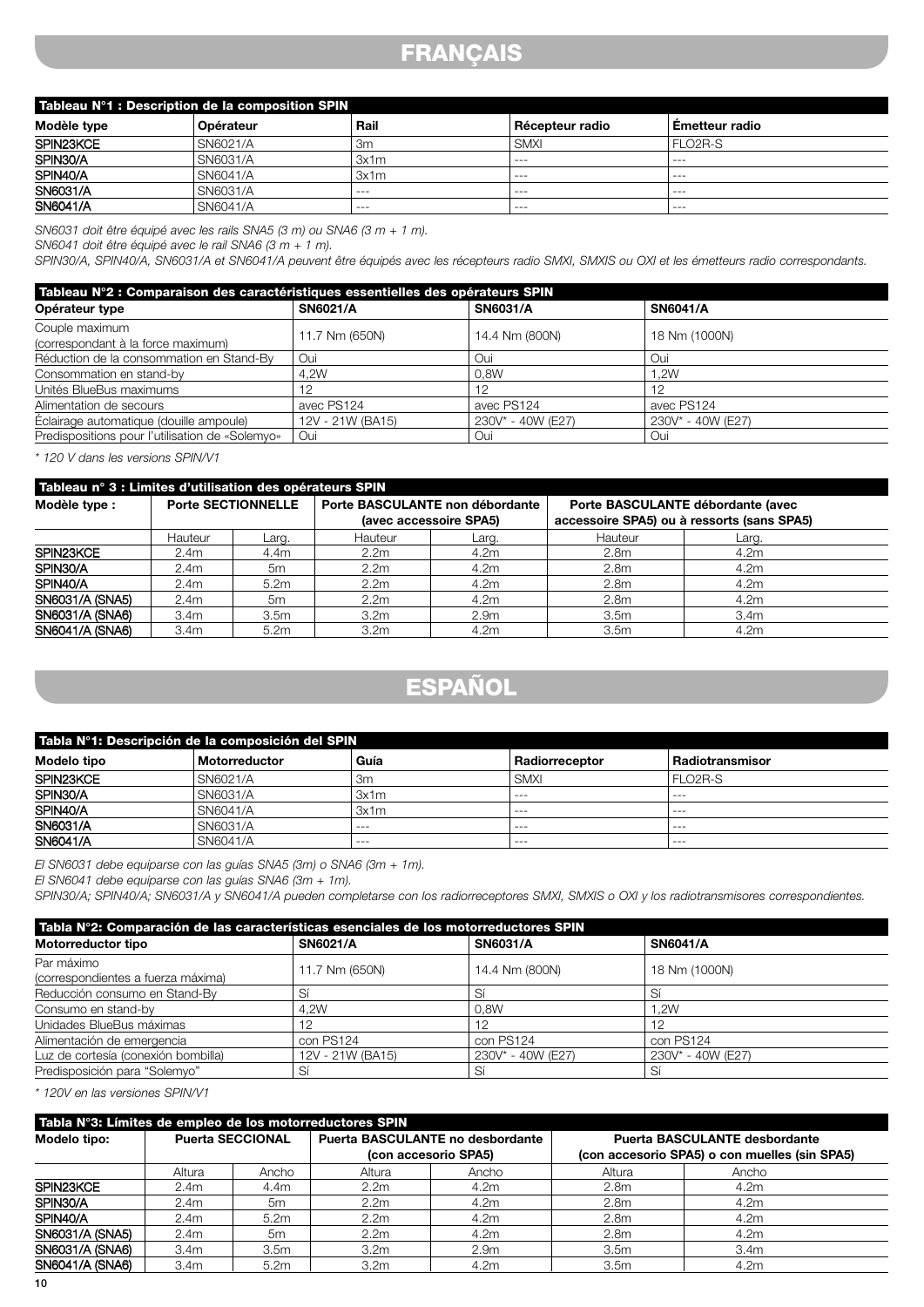## **FRANÇAIS**

| Tableau N°1 : Description de la composition SPIN |           |         |                 |                       |  |
|--------------------------------------------------|-----------|---------|-----------------|-----------------------|--|
| Modèle type                                      | Opérateur | Rail    | Récepteur radio | <b>Emetteur radio</b> |  |
| SPIN23KCE                                        | SN6021/A  | 3m      | SMXI            | FLO2R-S               |  |
| SPIN30/A                                         | SN6031/A  | 3x1m    | $- - -$         | ---                   |  |
| SPIN40/A                                         | SN6041/A  | 3x1m    | $- - -$         | ---                   |  |
| SN6031/A                                         | SN6031/A  | $- - -$ | $- - -$         | ---                   |  |
| SN6041/A                                         | SN6041/A  | $- - -$ | $--$            | $-- -$                |  |

*SN6031 doit être équipé avec les rails SNA5 (3 m) ou SNA6 (3 m + 1 m).*

*SN6041 doit être équipé avec le rail SNA6 (3 m + 1 m).*

*SPIN30/A, SPIN40/A, SN6031/A et SN6041/A peuvent être équipés avec les récepteurs radio SMXI, SMXIS ou OXI et les émetteurs radio correspondants.*

| Tableau N°2 : Comparaison des caractéristiques essentielles des opérateurs SPIN |                  |                   |                   |  |  |
|---------------------------------------------------------------------------------|------------------|-------------------|-------------------|--|--|
| Opérateur type                                                                  | <b>SN6021/A</b>  | <b>SN6031/A</b>   | <b>SN6041/A</b>   |  |  |
| Couple maximum<br>(correspondant à la force maximum)                            | 11.7 Nm (650N)   | 14.4 Nm (800N)    | 18 Nm (1000N)     |  |  |
| Réduction de la consommation en Stand-By                                        | Oui              | Oui               | Oui               |  |  |
| Consommation en stand-by                                                        | 4.2W             | 0.8W              | .2W.              |  |  |
| Unités BlueBus maximums                                                         |                  | 12                | 12                |  |  |
| Alimentation de secours                                                         | avec PS124       | avec PS124        | avec PS124        |  |  |
| Éclairage automatique (douille ampoule)                                         | 12V - 21W (BA15) | 230V* - 40W (E27) | 230V* - 40W (E27) |  |  |
| Predispositions pour l'utilisation de «Solemyo»                                 | Oui              | Oui               | Oui               |  |  |

*\* 120 V dans les versions SPIN/V1*

| Tableau nº 3 : Limites d'utilisation des opérateurs SPIN |                  |                           |                        |                                 |                                            |                                   |  |
|----------------------------------------------------------|------------------|---------------------------|------------------------|---------------------------------|--------------------------------------------|-----------------------------------|--|
| Modèle type :                                            |                  | <b>Porte SECTIONNELLE</b> |                        | Porte BASCULANTE non débordante |                                            | Porte BASCULANTE débordante (avec |  |
|                                                          |                  |                           | (avec accessoire SPA5) |                                 | accessoire SPA5) ou à ressorts (sans SPA5) |                                   |  |
|                                                          | Hauteur          | Larg.                     | Hauteur                | Larq.                           | Hauteur                                    | Larq.                             |  |
| SPIN <sub>23</sub> KCE                                   | 2.4 <sub>m</sub> | 4.4m                      | 2.2 <sub>m</sub>       | 4.2m                            | 2.8 <sub>m</sub>                           | 4.2m                              |  |
| SPIN30/A                                                 | 2.4 <sub>m</sub> | 5m                        | 2.2 <sub>m</sub>       | 4.2m                            | 2.8 <sub>m</sub>                           | 4.2 <sub>m</sub>                  |  |
| SPIN40/A                                                 | 2.4 <sub>m</sub> | 5.2m                      | 2.2 <sub>m</sub>       | 4.2 <sub>m</sub>                | 2.8 <sub>m</sub>                           | 4.2 <sub>m</sub>                  |  |
| SN6031/A (SNA5)                                          | 2.4 <sub>m</sub> | 5m                        | 2.2 <sub>m</sub>       | 4.2 <sub>m</sub>                | 2.8 <sub>m</sub>                           | 4.2 <sub>m</sub>                  |  |
| SN6031/A (SNA6)                                          | 3.4 <sub>m</sub> | 3.5 <sub>m</sub>          | 3.2 <sub>m</sub>       | 2.9 <sub>m</sub>                | 3.5m                                       | 3.4 <sub>m</sub>                  |  |
| SN6041/A (SNA6)                                          | 3.4m             | 5.2m                      | 3.2 <sub>m</sub>       | 4.2m                            | 3.5m                                       | 4.2m                              |  |

# **ESPAÑOL**

| Tabla N°1: Descripción de la composición del SPIN |               |         |                |                      |  |  |
|---------------------------------------------------|---------------|---------|----------------|----------------------|--|--|
| Modelo tipo                                       | Motorreductor | Guía    | Radiorreceptor | Radiotransmisor      |  |  |
| SPIN23KCE                                         | SN6021/A      | 3m      | SMXI           | FLO <sub>2</sub> R-S |  |  |
| SPIN30/A                                          | SN6031/A      | 3x1m    | $- - -$        | $- - -$              |  |  |
| SPIN40/A                                          | SN6041/A      | 3x1m    | $- - -$        | $- - -$              |  |  |
| SN6031/A                                          | SN6031/A      | ---     | $- - -$        | $- - -$              |  |  |
| SN6041/A                                          | SN6041/A      | $- - -$ | $- - -$        | $- - -$              |  |  |

*El SN6031 debe equiparse con las guías SNA5 (3m) o SNA6 (3m + 1m).*

*El SN6041 debe equiparse con las guías SNA6 (3m + 1m).*

*SPIN30/A; SPIN40/A; SN6031/A y SN6041/A pueden completarse con los radiorreceptores SMXI, SMXIS o OXI y los radiotransmisores correspondientes.*

| Tabla N°2: Comparación de las características esenciales de los motorreductores SPIN |                  |                   |                   |  |  |
|--------------------------------------------------------------------------------------|------------------|-------------------|-------------------|--|--|
| Motorreductor tipo                                                                   | <b>SN6021/A</b>  | <b>SN6031/A</b>   | <b>SN6041/A</b>   |  |  |
| Par máximo                                                                           | 11.7 Nm (650N)   | 14.4 Nm (800N)    | 18 Nm (1000N)     |  |  |
| (correspondientes a fuerza máxima)                                                   |                  |                   |                   |  |  |
| Reducción consumo en Stand-By                                                        | Sí               |                   | Sí                |  |  |
| Consumo en stand-by                                                                  | 4.2W             | 0.8W              | 1.2W              |  |  |
| Unidades BlueBus máximas                                                             | 12               | -12               | -12               |  |  |
| Alimentación de emergencia                                                           | con PS124        | con PS124         | con PS124         |  |  |
| Luz de cortesía (conexión bombilla)                                                  | 12V - 21W (BA15) | 230V* - 40W (E27) | 230V* - 40W (E27) |  |  |
| Predisposición para "Solemyo"                                                        | Sí               | Sí                | Sí                |  |  |

*\* 120V en las versiones SPIN/V1*

| Tabla N°3: Límites de empleo de los motorreductores SPIN |                         |                  |                                                                 |                  |                                                                                       |                  |  |  |
|----------------------------------------------------------|-------------------------|------------------|-----------------------------------------------------------------|------------------|---------------------------------------------------------------------------------------|------------------|--|--|
| Modelo tipo:                                             | <b>Puerta SECCIONAL</b> |                  | <b>Puerta BASCULANTE no desbordante</b><br>(con accesorio SPA5) |                  | <b>Puerta BASCULANTE desbordante</b><br>(con accesorio SPA5) o con muelles (sin SPA5) |                  |  |  |
|                                                          | Altura                  | Ancho            | Altura                                                          | Ancho            | Altura                                                                                | Ancho            |  |  |
| SPIN <sub>23</sub> KCE                                   | 2.4 <sub>m</sub>        | 4.4m             | 2.2 <sub>m</sub>                                                | 4.2 <sub>m</sub> | 2.8 <sub>m</sub>                                                                      | 4.2m             |  |  |
| SPIN30/A                                                 | 2.4 <sub>m</sub>        | 5m               | 2.2 <sub>m</sub>                                                | 4.2 <sub>m</sub> | 2.8 <sub>m</sub>                                                                      | 4.2m             |  |  |
| SPIN40/A                                                 | 2.4 <sub>m</sub>        | 5.2m             | 2.2 <sub>m</sub>                                                | 4.2 <sub>m</sub> | 2.8 <sub>m</sub>                                                                      | 4.2m             |  |  |
| SN6031/A (SNA5)                                          | 2.4 <sub>m</sub>        | 5m               | 2.2 <sub>m</sub>                                                | 4.2 <sub>m</sub> | 2.8 <sub>m</sub>                                                                      | 4.2m             |  |  |
| SN6031/A (SNA6)                                          | 3.4 <sub>m</sub>        | 3.5 <sub>m</sub> | 3.2 <sub>m</sub>                                                | 2.9 <sub>m</sub> | 3.5 <sub>m</sub>                                                                      | 3.4 <sub>m</sub> |  |  |
| SN6041/A (SNA6)                                          | 3.4 <sub>m</sub>        | 5.2m             | 3.2 <sub>m</sub>                                                | 4.2 <sub>m</sub> | 3.5 <sub>m</sub>                                                                      | 4.2m             |  |  |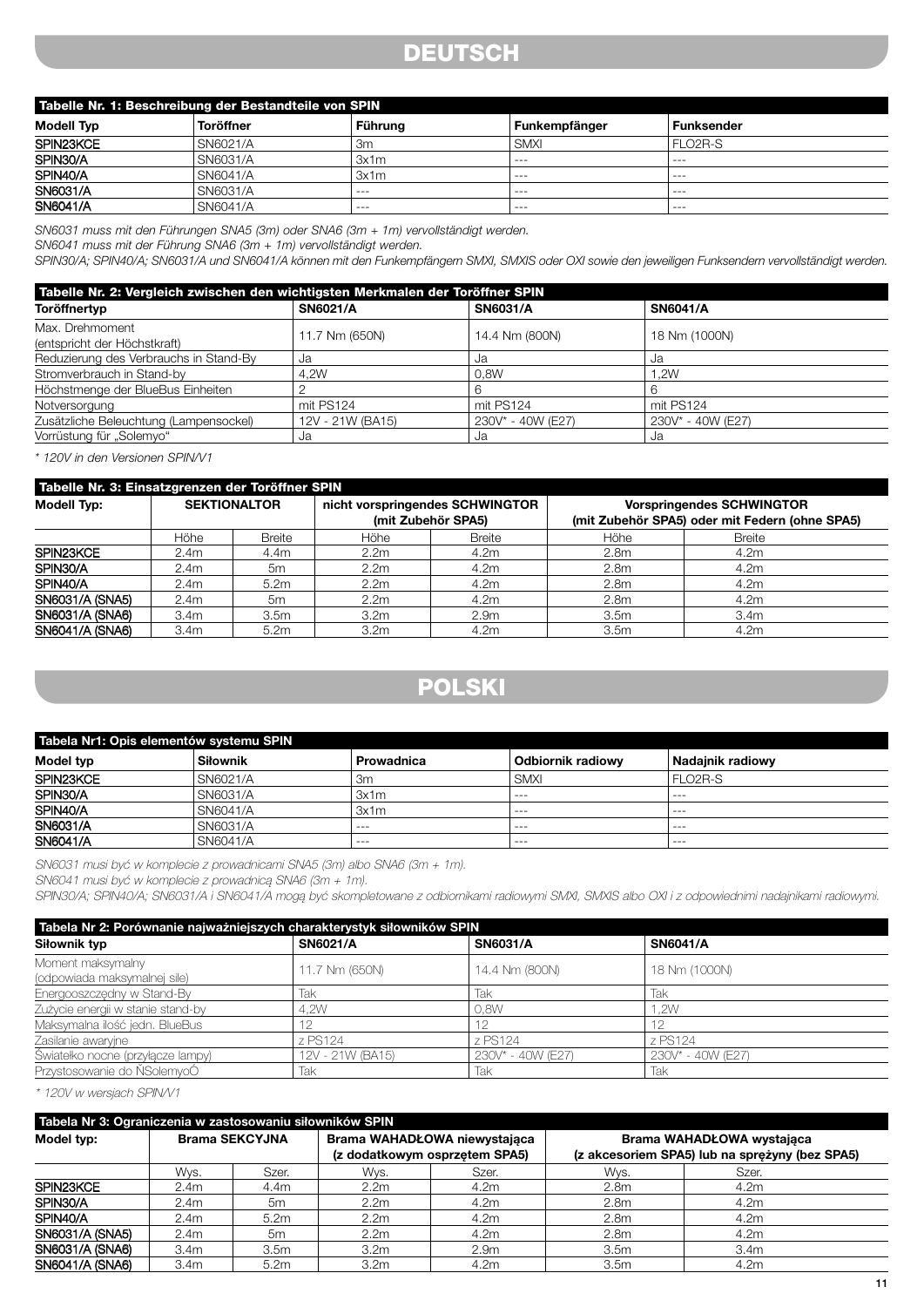## **DEUTSCH**

| Tabelle Nr. 1: Beschreibung der Bestandteile von SPIN |                  |         |               |                      |  |  |
|-------------------------------------------------------|------------------|---------|---------------|----------------------|--|--|
| <b>Modell Typ</b>                                     | <b>Toröffner</b> | Führung | Funkempfänger | <b>Funksender</b>    |  |  |
| SPIN23KCE                                             | SN6021/A         | 3m      | SMXI          | FLO <sub>2</sub> R-S |  |  |
| SPIN30/A                                              | SN6031/A         | 3x1m    | $- - -$       | $- - -$              |  |  |
| SPIN40/A                                              | SN6041/A         | 3x1m    | $- - -$       | ---                  |  |  |
| SN6031/A                                              | SN6031/A         | $- - -$ | $- - -$       | $- - -$              |  |  |
| SN6041/A                                              | SN6041/A         | $- - -$ | $- - -$       | $- - -$              |  |  |

*SN6031 muss mit den Führungen SNA5 (3m) oder SNA6 (3m + 1m) vervollständigt werden.*

*SN6041 muss mit der Führung SNA6 (3m + 1m) vervollständigt werden.*

*SPIN30/A; SPIN40/A; SN6031/A und SN6041/A können mit den Funkempfängern SMXI, SMXIS oder OXI sowie den jeweiligen Funksendern vervollständigt werden.*

| Tabelle Nr. 2: Vergleich zwischen den wichtigsten Merkmalen der Toröffner SPIN |                  |                   |                   |  |  |  |
|--------------------------------------------------------------------------------|------------------|-------------------|-------------------|--|--|--|
| Toröffnertyp                                                                   | <b>SN6021/A</b>  | <b>SN6031/A</b>   | <b>SN6041/A</b>   |  |  |  |
| Max. Drehmoment<br>(entspricht der Höchstkraft)                                | 11.7 Nm (650N)   | 14.4 Nm (800N)    | 18 Nm (1000N)     |  |  |  |
| Reduzierung des Verbrauchs in Stand-By                                         | Ja               | Ja                | Ja                |  |  |  |
| Stromverbrauch in Stand-by                                                     | 4.2W             | 0.8W              | .2W               |  |  |  |
| Höchstmenge der BlueBus Einheiten                                              |                  |                   |                   |  |  |  |
| Notversorgung                                                                  | mit PS124        | mit PS124         | mit PS124         |  |  |  |
| Zusätzliche Beleuchtung (Lampensockel)                                         | 12V - 21W (BA15) | 230V* - 40W (E27) | 230V* - 40W (E27) |  |  |  |
| Vorrüstung für "Solemyo"                                                       | Ja               | Ja                | Ja.               |  |  |  |

*\* 120V in den Versionen SPIN/V1*

| Tabelle Nr. 3: Einsatzgrenzen der Toröffner SPIN |                     |                  |                                                       |                  |                                                |                                  |  |  |
|--------------------------------------------------|---------------------|------------------|-------------------------------------------------------|------------------|------------------------------------------------|----------------------------------|--|--|
| <b>Modell Typ:</b>                               | <b>SEKTIONALTOR</b> |                  | nicht vorspringendes SCHWINGTOR<br>(mit Zubehör SPA5) |                  |                                                | <b>Vorspringendes SCHWINGTOR</b> |  |  |
|                                                  |                     |                  |                                                       |                  | (mit Zubehör SPA5) oder mit Federn (ohne SPA5) |                                  |  |  |
|                                                  | Höhe                | <b>Breite</b>    | Höhe                                                  | <b>Breite</b>    | Höhe                                           | <b>Breite</b>                    |  |  |
| SPIN <sub>23KCE</sub>                            | 2.4 <sub>m</sub>    | 4.4m             | 2.2 <sub>m</sub>                                      | 4.2 <sub>m</sub> | 2.8 <sub>m</sub>                               | 4.2m                             |  |  |
| SPIN30/A                                         | 2.4 <sub>m</sub>    | 5m               | 2.2 <sub>m</sub>                                      | 4.2 <sub>m</sub> | 2.8 <sub>m</sub>                               | 4.2m                             |  |  |
| SPIN40/A                                         | 2.4 <sub>m</sub>    | 5.2m             | 2.2 <sub>m</sub>                                      | 4.2m             | 2.8 <sub>m</sub>                               | 4.2 <sub>m</sub>                 |  |  |
| SN6031/A (SNA5)                                  | 2.4 <sub>m</sub>    | 5m               | 2.2 <sub>m</sub>                                      | 4.2 <sub>m</sub> | 2.8 <sub>m</sub>                               | 4.2 <sub>m</sub>                 |  |  |
| SN6031/A (SNA6)                                  | 3.4 <sub>m</sub>    | 3.5 <sub>m</sub> | 3.2 <sub>m</sub>                                      | 2.9 <sub>m</sub> | 3.5 <sub>m</sub>                               | 3.4 <sub>m</sub>                 |  |  |
| SN6041/A (SNA6)                                  | 3.4 <sub>m</sub>    | 5.2m             | 3.2 <sub>m</sub>                                      | 4.2m             | 3.5 <sub>m</sub>                               | 4.2m                             |  |  |

## **POLSKI**

| Tabela Nr1: Opis elementów systemu SPIN |                 |            |                          |                      |  |  |
|-----------------------------------------|-----------------|------------|--------------------------|----------------------|--|--|
| Model typ                               | <b>Siłownik</b> | Prowadnica | <b>Odbiornik radiowy</b> | Nadainik radiowv     |  |  |
| SPIN23KCE                               | SN6021/A        | 3m         | <b>SMXI</b>              | FLO <sub>2</sub> R-S |  |  |
| SPIN30/A                                | SN6031/A        | 3x1m       | $- - -$                  | ----                 |  |  |
| SPIN40/A                                | SN6041/A        | 3x1m       | $- - -$                  | ---                  |  |  |
| <b>SN6031/A</b>                         | SN6031/A        | $- - -$    | $- - -$                  | $- - -$              |  |  |
| SN6041/A                                | SN6041/A        | $- - -$    | $- - -$                  | $- - -$              |  |  |

SN6031 musi być w komplecie z prowadnicami SNA5 (3m) albo SNA6 (3m + 1m).

SN6041 musi być w komplecie z prowadnicą SNA6 (3m + 1m).

SPIN30/A; SPIN40/A; SN6031/A i SN6041/A mogą być skompletowane z odbiornikami radiowymi SMXI, SMXIS albo OXI i z odpowiednimi nadajnikami radiowymi.

| Tabela Nr 2: Porównanie najważniejszych charakterystyk siłowników SPIN |                  |                   |                   |  |  |  |  |
|------------------------------------------------------------------------|------------------|-------------------|-------------------|--|--|--|--|
| Siłownik typ                                                           | <b>SN6021/A</b>  | <b>SN6031/A</b>   | <b>SN6041/A</b>   |  |  |  |  |
| Moment maksymalny                                                      | 11.7 Nm (650N)   | 14.4 Nm (800N)    | 18 Nm (1000N)     |  |  |  |  |
| (odpowiada maksymalnej sile)<br>Energooszczędny w Stand-By             | Tak              | Tak               | Tak               |  |  |  |  |
| Zużycie energii w stanie stand-by                                      | 4.2W             | 0.8W              | 1.2W              |  |  |  |  |
| Maksymalna ilość jedn. BlueBus                                         |                  | -12               | 12                |  |  |  |  |
| Zasilanie awaryine                                                     | z PS124          | z PS124           | z PS124           |  |  |  |  |
| Światełko nocne (przyłącze lampy)                                      | 12V - 21W (BA15) | 230V* - 40W (E27) | 230V* - 40W (E27) |  |  |  |  |
| Przystosowanie do NSolemyoÓ                                            | Tak              | Tak               | Tak               |  |  |  |  |

\* 120V w wersjach SPIN/V1

| Tabela Nr 3: Ograniczenia w zastosowaniu siłowników SPIN |                       |                  |                              |                               |                                                |                           |  |  |
|----------------------------------------------------------|-----------------------|------------------|------------------------------|-------------------------------|------------------------------------------------|---------------------------|--|--|
| Model typ:                                               | <b>Brama SEKCYJNA</b> |                  | Brama WAHADŁOWA niewystająca |                               |                                                | Brama WAHADŁOWA wystająca |  |  |
|                                                          |                       |                  |                              | (z dodatkowym osprzętem SPA5) | (z akcesoriem SPA5) lub na sprężyny (bez SPA5) |                           |  |  |
|                                                          | Wys.                  | Szer.            | Wys.                         | Szer.                         | Wvs.                                           | Szer.                     |  |  |
| SPIN23KCE                                                | 2.4 <sub>m</sub>      | 4.4m             | 2.2 <sub>m</sub>             | 4.2 <sub>m</sub>              | 2.8 <sub>m</sub>                               | 4.2m                      |  |  |
| SPIN30/A                                                 | 2.4 <sub>m</sub>      | 5m               | 2.2 <sub>m</sub>             | 4.2 <sub>m</sub>              | 2.8 <sub>m</sub>                               | 4.2 <sub>m</sub>          |  |  |
| SPIN40/A                                                 | 2.4 <sub>m</sub>      | 5.2m             | 2.2 <sub>m</sub>             | 4.2 <sub>m</sub>              | 2.8 <sub>m</sub>                               | 4.2 <sub>m</sub>          |  |  |
| SN6031/A (SNA5)                                          | 2.4 <sub>m</sub>      | 5m               | 2.2 <sub>m</sub>             | 4.2 <sub>m</sub>              | 2.8 <sub>m</sub>                               | 4.2 <sub>m</sub>          |  |  |
| SN6031/A (SNA6)                                          | 3.4 <sub>m</sub>      | 3.5 <sub>m</sub> | 3.2 <sub>m</sub>             | 2.9 <sub>m</sub>              | 3.5 <sub>m</sub>                               | 3.4 <sub>m</sub>          |  |  |
| SN6041/A (SNA6)                                          | 3.4 <sub>m</sub>      | 5.2m             | 3.2 <sub>m</sub>             | 4.2 <sub>m</sub>              | 3.5 <sub>m</sub>                               | 4.2m                      |  |  |